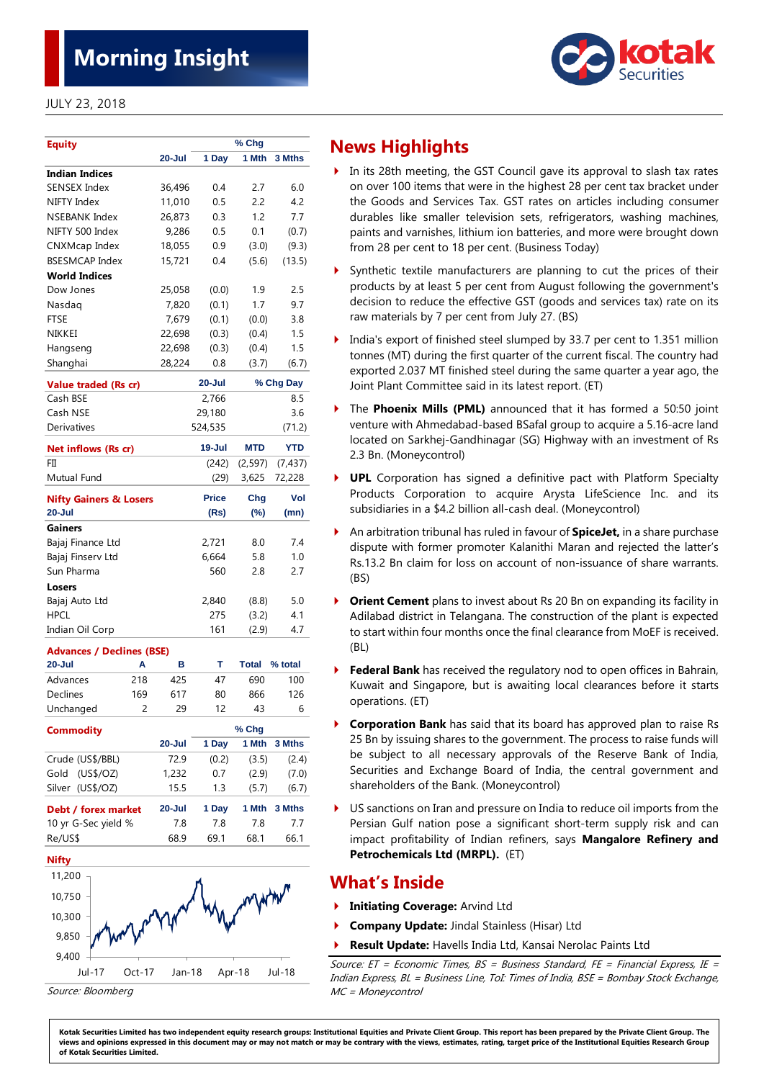# **Morning Insight**

SENSEX Index 36,496 0.4 2.7 6.0 NIFTY Index 11,010 0.5 2.2 4.2 NSEBANK Index 26,873 0.3 1.2 7.7 NIFTY 500 Index 9,286 0.5 0.1 (0.7) CNXMcap Index 18,055 0.9 (3.0) (9.3)

**20-Jul 1 Day 1 Mth 3 Mths**

**% Chg**



**Indian Indices** 

**Equity**



- In its 28th meeting, the GST Council gave its approval to slash tax rates on over 100 items that were in the highest 28 per cent tax bracket under the Goods and Services Tax. GST rates on articles including consumer durables like smaller television sets, refrigerators, washing machines, paints and varnishes, lithium ion batteries, and more were brought down from 28 per cent to 18 per cent. (Business Today)
- Synthetic textile manufacturers are planning to cut the prices of their products by at least 5 per cent from August following the government's decision to reduce the effective GST (goods and services tax) rate on its raw materials by 7 per cent from July 27. (BS)
- India's export of finished steel slumped by 33.7 per cent to 1.351 million tonnes (MT) during the first quarter of the current fiscal. The country had exported 2.037 MT finished steel during the same quarter a year ago, the Joint Plant Committee said in its latest report. (ET)
- The **Phoenix Mills (PML)** announced that it has formed a 50:50 joint venture with Ahmedabad-based BSafal group to acquire a 5.16-acre land located on Sarkhej-Gandhinagar (SG) Highway with an investment of Rs 2.3 Bn. (Moneycontrol)
- **UPL** Corporation has signed a definitive pact with Platform Specialty Products Corporation to acquire Arysta LifeScience Inc. and its subsidiaries in a \$4.2 billion all-cash deal. (Moneycontrol)
- An arbitration tribunal has ruled in favour of **SpiceJet,** in a share purchase dispute with former promoter Kalanithi Maran and rejected the latter's Rs.13.2 Bn claim for loss on account of non-issuance of share warrants. (BS)
- **Orient Cement** plans to invest about Rs 20 Bn on expanding its facility in Adilabad district in Telangana. The construction of the plant is expected to start within four months once the final clearance from MoEF is received. (BL)
- **Federal Bank** has received the regulatory nod to open offices in Bahrain, Kuwait and Singapore, but is awaiting local clearances before it starts operations. (ET)
- **Corporation Bank** has said that its board has approved plan to raise Rs 25 Bn by issuing shares to the government. The process to raise funds will be subject to all necessary approvals of the Reserve Bank of India, Securities and Exchange Board of India, the central government and shareholders of the Bank. (Moneycontrol)
- US sanctions on Iran and pressure on India to reduce oil imports from the Persian Gulf nation pose a significant short-term supply risk and can impact profitability of Indian refiners, says **Mangalore Refinery and Petrochemicals Ltd (MRPL).** (ET)

# **What's Inside**

- **Initiating Coverage:** Arvind Ltd
- **Company Update:** Jindal Stainless (Hisar) Ltd
- **Result Update:** Havells India Ltd, Kansai Nerolac Paints Ltd

Source:  $ET = Economic Times$ ,  $BS = Business Standard$ ,  $FE = Financial Express$ ,  $IE =$ Indian Express, BL <sup>=</sup> Business Line, ToI: Times of India, BSE <sup>=</sup> Bombay Stock Exchange, MC = Moneycontrol

| <b>BSESMCAP Index</b>             | 15,721     | 0.4          | (5.6)        | (13.5)     |
|-----------------------------------|------------|--------------|--------------|------------|
| <b>World Indices</b>              |            |              |              |            |
| Dow Jones                         | 25,058     | (0.0)        | 1.9          | 2.5        |
| Nasdag                            | 7,820      | (0.1)        | 1.7          | 9.7        |
| <b>FTSE</b>                       | 7,679      | (0.1)        | (0.0)        | 3.8        |
| NIKKEI                            | 22,698     | (0.3)        | (0.4)        | 1.5        |
| Hangseng                          | 22,698     | (0.3)        | (0.4)        | 1.5        |
| Shanghai                          | 28,224     | 0.8          | (3.7)        | (6.7)      |
| Value traded (Rs cr)              |            | $20 -$ Jul   |              | % Chg Day  |
| Cash BSE                          |            | 2,766        |              | 8.5        |
| Cash NSE                          |            | 29,180       |              | 3.6        |
| Derivatives                       |            | 524,535      |              | (71.2)     |
| Net inflows (Rs cr)               |            | 19-Jul       | <b>MTD</b>   | <b>YTD</b> |
| FП                                |            | (242)        | (2, 597)     | (7, 437)   |
| Mutual Fund                       |            | (29)         | 3,625        | 72,228     |
| <b>Nifty Gainers &amp; Losers</b> |            | <b>Price</b> | Chg          | Vol        |
| $20 -$ Jul                        |            | (Rs)         | $(\%)$       | (mn)       |
| <b>Gainers</b>                    |            |              |              |            |
| Bajaj Finance Ltd                 |            | 2,721        | 8.0          | 7.4        |
| Bajaj Finserv Ltd                 |            | 6,664        | 5.8          | 1.0        |
| Sun Pharma                        |            | 560          | 2.8          | 2.7        |
| Losers                            |            |              |              |            |
| Bajaj Auto Ltd                    |            | 2,840        | (8.8)        | 5.0        |
| <b>HPCL</b>                       |            | 275          | (3.2)        | 4.1        |
| Indian Oil Corp                   |            | 161          | (2.9)        | 4.7        |
| <b>Advances / Declines (BSE)</b>  |            |              |              |            |
| $20 -$ Jul<br>A                   | в          | т            | <b>Total</b> | % total    |
| Advances<br>218                   | 425        | 47           | 690          | 100        |
| Declines<br>169                   | 617        | 80           | 866          | 126        |
| Unchanged<br>2                    | 29         | 12           | 43           | 6          |
| <b>Commodity</b>                  |            |              | % Chg        |            |
|                                   | $20 -$ Jul | 1 Day        | 1 Mth        | 3 Mths     |
| Crude (US\$/BBL)                  | 72.9       | (0.2)        | (3.5)        | (2.4)      |
| (US\$/OZ)<br>Gold                 | 1,232      | 0.7          | (2.9)        | (7.0)      |
| Silver (US\$/OZ)                  | 15.5       | 1.3          | (5.7)        | (6.7)      |
| Debt / forex market               | 20-Jul     | 1 Day        | 1 Mth        | 3 Mths     |
| 10 yr G-Sec yield %               | 7.8        | 7.8          | 7.8          | 7.7        |
| Re/US\$                           | 68.9       | 69.1         | 68.1         | 66.1       |
| <b>Nifty</b>                      |            |              |              |            |
| 11,200                            |            |              |              |            |
|                                   |            |              |              |            |
| 10,750                            |            |              |              |            |



Source: Bloomberg

Kotak Securities Limited has two independent equity research groups: Institutional Equities and Private Client Group. This report has been prepared by the Private Client Group. The views and opinions expressed in this document may or may not match or may be contrary with the views, estimates, rating, target price of the Institutional Equities Research Group **of Kotak Securities Limited.**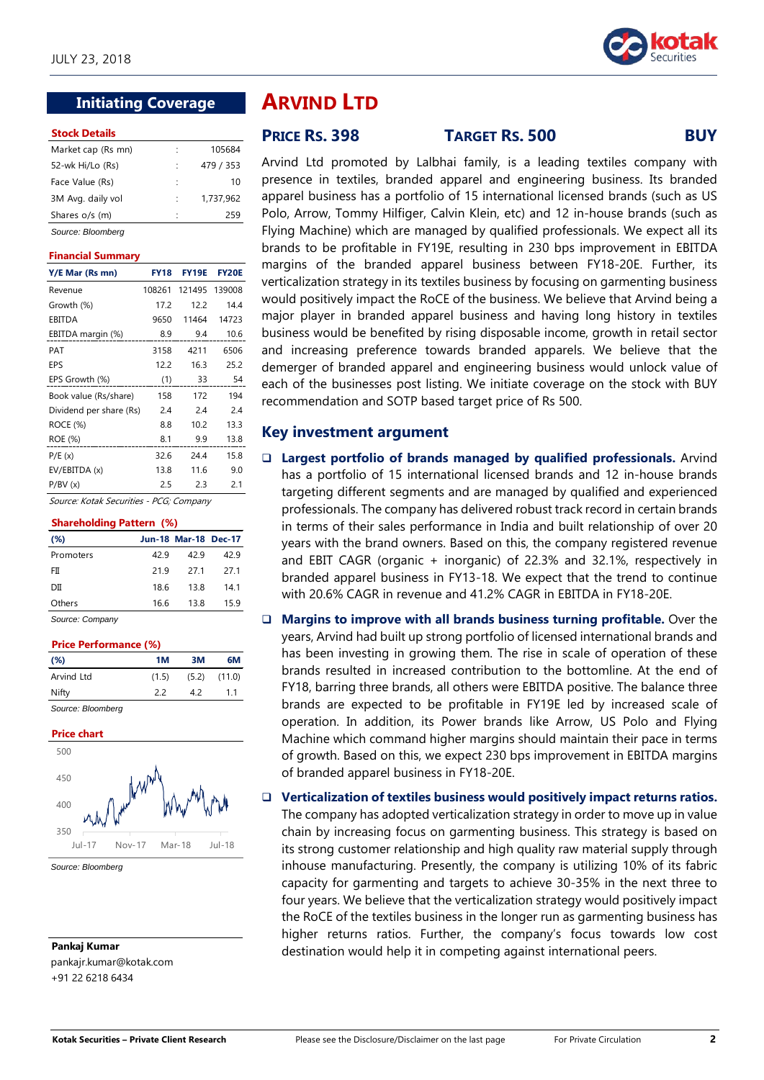

# **Initiating Coverage**

#### **Stock Details**

| Market cap (Rs mn) | ÷  | 105684    |
|--------------------|----|-----------|
| 52-wk Hi/Lo (Rs)   |    | 479 / 353 |
| Face Value (Rs)    | ٠  | 10        |
| 3M Avg. daily vol  | ÷. | 1,737,962 |
| Shares o/s (m)     | ٠  | 259       |
| Source: Bloomberg  |    |           |

#### **Financial Summary**

| Y/E Mar (Rs mn)         | <b>FY18</b> | <b>FY19E</b> | <b>FY20E</b> |
|-------------------------|-------------|--------------|--------------|
| Revenue                 | 108261      | 121495       | 139008       |
| Growth (%)              | 17.2        | 12.2         | 14.4         |
| EBITDA                  | 9650        | 11464        | 14723        |
| EBITDA margin (%)       | 8.9         | 9.4          | 10.6         |
| PAT                     | 3158        | 4211         | 6506         |
| EPS                     | 12.2        | 16.3         | 25.2         |
| EPS Growth (%)          | (1)         | 33           | 54           |
| Book value (Rs/share)   | 158         | 172          | 194          |
| Dividend per share (Rs) | 2.4         | 2.4          | 2.4          |
| ROCE (%)                | 8.8         | 10.2         | 13.3         |
| ROE (%)                 | 8.1         | 9.9          | 13.8         |
| P/E(x)                  | 32.6        | 24.4         | 15.8         |
| EV/EBITDA (x)           | 13.8        | 11.6         | 9.0          |
| P/BV(x)                 | 2.5         | 2.3          | 2.1          |

Source: Kotak Securities - PCG; Company

#### **Shareholding Pattern (%)**

| (%)       |      | <b>Jun-18 Mar-18 Dec-17</b> |      |
|-----------|------|-----------------------------|------|
| Promoters | 429  | 42.9                        | 42 9 |
| FП        | 219  | 271                         | 271  |
| DШ        | 18.6 | 13.8                        | 141  |
| Others    | 16.6 | 13.8                        | 159  |

#### *Source: Company*

#### **Price Performance (%)**

| (%)        | 1M    | зм    | 6М     |
|------------|-------|-------|--------|
| Arvind Ltd | (1.5) | (5.2) | (11.0) |
| Nifty      | 22    | 42    | 11     |
|            |       |       |        |

#### *Source: Bloomberg*



*Source: Bloomberg*

**Pankaj Kumar** pankajr.kumar@kotak.com +91 22 6218 6434

# **ARVIND LTD**

# **PRICE RS. 398 TARGET RS. 500 BUY**

Arvind Ltd promoted by Lalbhai family, is a leading textiles company with presence in textiles, branded apparel and engineering business. Its branded apparel business has a portfolio of 15 international licensed brands (such as US Polo, Arrow, Tommy Hilfiger, Calvin Klein, etc) and 12 in-house brands (such as Flying Machine) which are managed by qualified professionals. We expect all its brands to be profitable in FY19E, resulting in 230 bps improvement in EBITDA margins of the branded apparel business between FY18-20E. Further, its verticalization strategy in its textiles business by focusing on garmenting business would positively impact the RoCE of the business. We believe that Arvind being a major player in branded apparel business and having long history in textiles business would be benefited by rising disposable income, growth in retail sector and increasing preference towards branded apparels. We believe that the demerger of branded apparel and engineering business would unlock value of each of the businesses post listing. We initiate coverage on the stock with BUY recommendation and SOTP based target price of Rs 500.

## **Key investment argument**

- **Largest portfolio of brands managed by qualified professionals.** Arvind has a portfolio of 15 international licensed brands and 12 in-house brands targeting different segments and are managed by qualified and experienced professionals. The company has delivered robust track record in certain brands in terms of their sales performance in India and built relationship of over 20 years with the brand owners. Based on this, the company registered revenue and EBIT CAGR (organic  $+$  inorganic) of 22.3% and 32.1%, respectively in branded apparel business in FY13-18. We expect that the trend to continue with 20.6% CAGR in revenue and 41.2% CAGR in EBITDA in FY18-20E.
- **Margins to improve with all brands business turning profitable.** Over the years, Arvind had built up strong portfolio of licensed international brands and has been investing in growing them. The rise in scale of operation of these brands resulted in increased contribution to the bottomline. At the end of FY18, barring three brands, all others were EBITDA positive. The balance three brands are expected to be profitable in FY19E led by increased scale of operation. In addition, its Power brands like Arrow, US Polo and Flying Machine which command higher margins should maintain their pace in terms of growth. Based on this, we expect 230 bps improvement in EBITDA margins of branded apparel business in FY18-20E.

#### **Verticalization of textiles business would positively impact returns ratios.**

The company has adopted verticalization strategy in order to move up in value chain by increasing focus on garmenting business. This strategy is based on its strong customer relationship and high quality raw material supply through inhouse manufacturing. Presently, the company is utilizing 10% of its fabric capacity for garmenting and targets to achieve 30-35% in the next three to four years. We believe that the verticalization strategy would positively impact the RoCE of the textiles business in the longer run as garmenting business has higher returns ratios. Further, the company's focus towards low cost destination would help it in competing against international peers.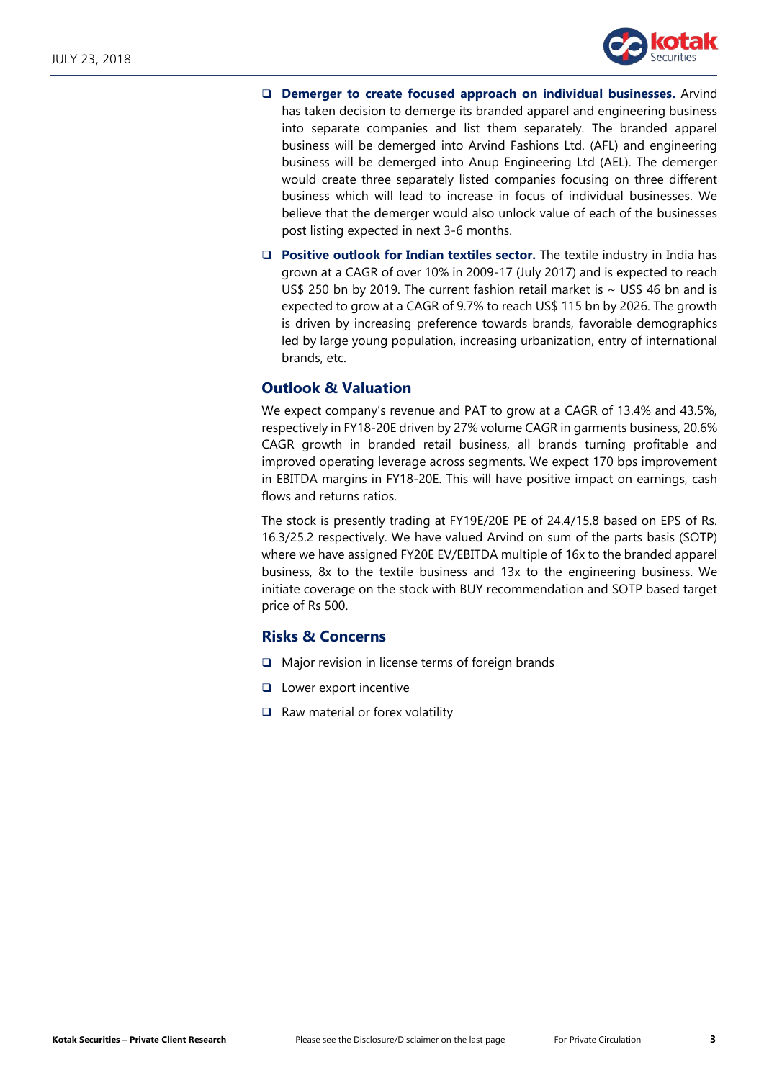

- **Demerger to create focused approach on individual businesses.** Arvind has taken decision to demerge its branded apparel and engineering business into separate companies and list them separately. The branded apparel business will be demerged into Arvind Fashions Ltd. (AFL) and engineering business will be demerged into Anup Engineering Ltd (AEL). The demerger would create three separately listed companies focusing on three different business which will lead to increase in focus of individual businesses. We believe that the demerger would also unlock value of each of the businesses post listing expected in next 3-6 months.
- **Positive outlook for Indian textiles sector.** The textile industry in India has grown at a CAGR of over 10% in 2009-17 (July 2017) and is expected to reach US\$ 250 bn by 2019. The current fashion retail market is  $\sim$  US\$ 46 bn and is expected to grow at a CAGR of 9.7% to reach US\$ 115 bn by 2026. The growth is driven by increasing preference towards brands, favorable demographics led by large young population, increasing urbanization, entry of international brands, etc.

# **Outlook & Valuation**

We expect company's revenue and PAT to grow at a CAGR of 13.4% and 43.5%, respectively in FY18-20E driven by 27% volume CAGR in garments business, 20.6% CAGR growth in branded retail business, all brands turning profitable and improved operating leverage across segments. We expect 170 bps improvement in EBITDA margins in FY18-20E. This will have positive impact on earnings, cash flows and returns ratios.

The stock is presently trading at FY19E/20E PE of 24.4/15.8 based on EPS of Rs. 16.3/25.2 respectively. We have valued Arvind on sum of the parts basis (SOTP) where we have assigned FY20E EV/EBITDA multiple of 16x to the branded apparel business, 8x to the textile business and 13x to the engineering business. We initiate coverage on the stock with BUY recommendation and SOTP based target price of Rs 500.

# **Risks & Concerns**

- $\Box$  Major revision in license terms of foreign brands
- **Lower export incentive**
- $\Box$  Raw material or forex volatility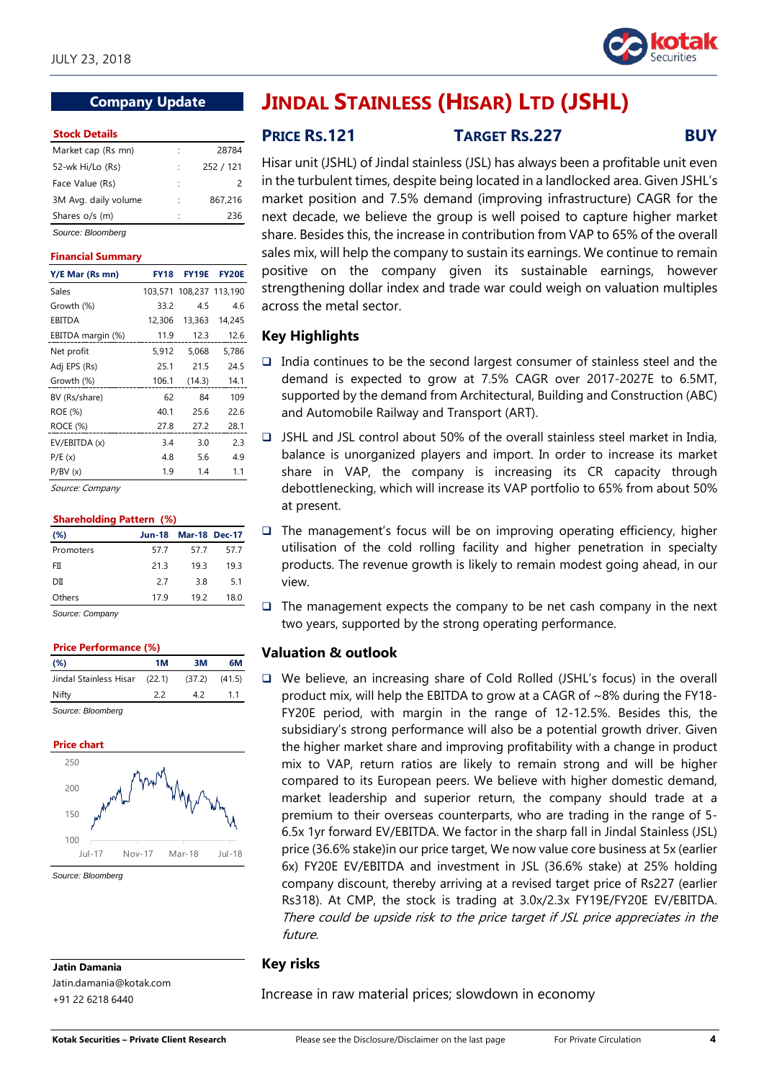

## **Company Update**

#### **Stock Details**

| Market cap (Rs mn)   |   | 28784     |
|----------------------|---|-----------|
| 52-wk Hi/Lo (Rs)     |   | 252 / 121 |
| Face Value (Rs)      |   |           |
| 3M Avg. daily volume |   | 867,216   |
| Shares o/s (m)       | ٠ | 236       |
|                      |   |           |

*Source: Bloomberg*

#### **Financial Summary**

| Y/E Mar (Rs mn)   | <b>FY18</b> | <b>FY19E</b>    | <b>FY20E</b> |
|-------------------|-------------|-----------------|--------------|
| Sales             | 103.571     | 108,237 113,190 |              |
| Growth (%)        | 33.2        | 4.5             | 4.6          |
| EBITDA            | 12,306      | 13,363          | 14,245       |
| EBITDA margin (%) | 11.9        | 12.3            | 12.6         |
| Net profit        | 5,912       | 5,068           | 5,786        |
| Adj EPS (Rs)      | 25.1        | 21.5            | 24.5         |
| Growth (%)        | 106.1       | (14.3)          | 14.1         |
| BV (Rs/share)     | 62          | 84              | 109          |
| ROE (%)           | 40.1        | 25.6            | 22.6         |
| ROCE (%)          | 27.8        | 27.2            | 28.1         |
| EV/EBITDA (x)     | 3.4         | 3.0             | 2.3          |
| P/E(x)            | 4.8         | 5.6             | 4.9          |
| P/BV(x)           | 1.9         | 1.4             | 1.1          |

Source: Company

|  | <b>Shareholding Pattern (%)</b> |  |
|--|---------------------------------|--|
|  |                                 |  |

| $(\%)$    | <b>Jun-18</b> | <b>Mar-18 Dec-17</b> |      |
|-----------|---------------|----------------------|------|
| Promoters | 57.7          | 57.7                 | 57.7 |
| FII       | 21.3          | 19.3                 | 19.3 |
| DII       | 27            | 3.8                  | 5.1  |
| Others    | 17.9          | 192                  | 18.0 |
| $\sim$    |               |                      |      |

*Source: Company*

| <b>Price Performance (%)</b>    |    |        |        |
|---------------------------------|----|--------|--------|
| (%)                             | 1M | зм     | 6М     |
| Jindal Stainless Hisar (22.1)   |    | (37.2) | (41.5) |
| Nifty                           | 22 | 42     | 11     |
| $O2$ and $O2$ and $O3$ and $O4$ |    |        |        |

*Source: Bloomberg*



*Source: Bloomberg*

**Jatin Damania** Jatin.damania@kotak.com

+91 22 6218 6440

# **JINDAL STAINLESS (HISAR) LTD (JSHL)**

**PRICE RS.121 TARGET RS.227 BUY**

Hisar unit (JSHL) of Jindal stainless (JSL) has always been a profitable unit even in the turbulent times, despite being located in a landlocked area. Given JSHL's market position and 7.5% demand (improving infrastructure) CAGR for the next decade, we believe the group is well poised to capture higher market share. Besides this, the increase in contribution from VAP to 65% of the overall sales mix, will help the company to sustain its earnings. We continue to remain positive on the company given its sustainable earnings, however strengthening dollar index and trade war could weigh on valuation multiples across the metal sector.

## **Key Highlights**

- $\Box$  India continues to be the second largest consumer of stainless steel and the demand is expected to grow at 7.5% CAGR over 2017-2027E to 6.5MT, supported by the demand from Architectural, Building and Construction (ABC) and Automobile Railway and Transport (ART).
- JSHL and JSL control about 50% of the overall stainless steel market in India, balance is unorganized players and import. In order to increase its market share in VAP, the company is increasing its CR capacity through debottlenecking, which will increase its VAP portfolio to 65% from about 50% at present.
- $\Box$  The management's focus will be on improving operating efficiency, higher utilisation of the cold rolling facility and higher penetration in specialty products. The revenue growth is likely to remain modest going ahead, in our view.
- $\Box$  The management expects the company to be net cash company in the next two years, supported by the strong operating performance.

### **Valuation & outlook**

 We believe, an increasing share of Cold Rolled (JSHL's focus) in the overall product mix, will help the EBITDA to grow at a CAGR of ~8% during the FY18- FY20E period, with margin in the range of 12-12.5%. Besides this, the subsidiary's strong performance will also be a potential growth driver. Given the higher market share and improving profitability with a change in product mix to VAP, return ratios are likely to remain strong and will be higher compared to its European peers. We believe with higher domestic demand, market leadership and superior return, the company should trade at a premium to their overseas counterparts, who are trading in the range of 5- 6.5x 1yr forward EV/EBITDA. We factor in the sharp fall in Jindal Stainless (JSL) price (36.6% stake)in our price target, We now value core business at 5x (earlier 6x) FY20E EV/EBITDA and investment in JSL (36.6% stake) at 25% holding company discount, thereby arriving at a revised target price of Rs227 (earlier Rs318). At CMP, the stock is trading at 3.0x/2.3x FY19E/FY20E EV/EBITDA. There could be upside risk to the price target if JSL price appreciates in the future.

## **Key risks**

Increase in raw material prices; slowdown in economy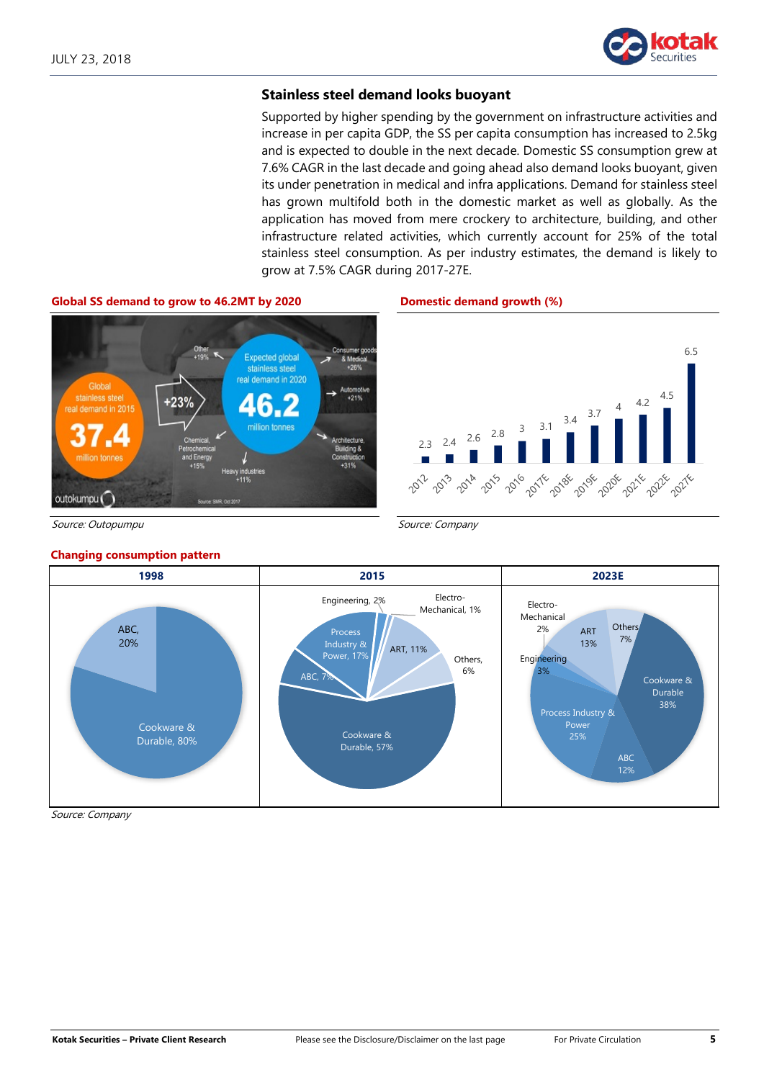

6.5

2021

### **Stainless steel demand looks buoyant**

Supported by higher spending by the government on infrastructure activities and increase in per capita GDP, the SS per capita consumption has increased to 2.5kg and is expected to double in the next decade. Domestic SS consumption grew at 7.6% CAGR in the last decade and going ahead also demand looks buoyant, given its under penetration in medical and infra applications. Demand for stainless steel has grown multifold both in the domestic market as well as globally. As the application has moved from mere crockery to architecture, building, and other infrastructure related activities, which currently account for 25% of the total stainless steel consumption. As per industry estimates, the demand is likely to grow at 7.5% CAGR during 2017-27E.



Source: Outopumpu Source: Company

#### **Changing consumption pattern**



Source: Company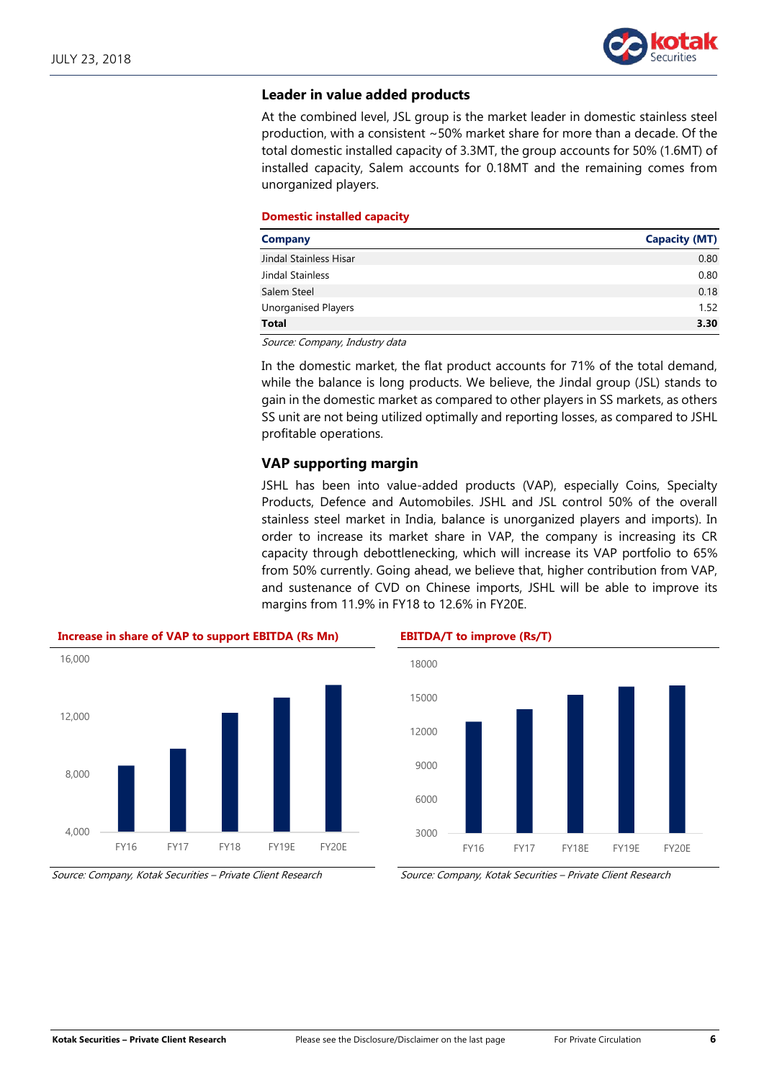

### **Leader in value added products**

At the combined level, JSL group is the market leader in domestic stainless steel production, with a consistent ~50% market share for more than a decade. Of the total domestic installed capacity of 3.3MT, the group accounts for 50% (1.6MT) of installed capacity, Salem accounts for 0.18MT and the remaining comes from unorganized players.

#### **Domestic installed capacity**

| <b>Company</b>         | <b>Capacity (MT)</b> |
|------------------------|----------------------|
| Jindal Stainless Hisar | 0.80                 |
| Jindal Stainless       | 0.80                 |
| Salem Steel            | 0.18                 |
| Unorganised Players    | 1.52                 |
| <b>Total</b>           | 3.30                 |

Source: Company, Industry data

In the domestic market, the flat product accounts for 71% of the total demand, while the balance is long products. We believe, the Jindal group (JSL) stands to gain in the domestic market as compared to other players in SS markets, as others SS unit are not being utilized optimally and reporting losses, as compared to JSHL profitable operations.

#### **VAP supporting margin**

JSHL has been into value-added products (VAP), especially Coins, Specialty Products, Defence and Automobiles. JSHL and JSL control 50% of the overall stainless steel market in India, balance is unorganized players and imports). In order to increase its market share in VAP, the company is increasing its CR capacity through debottlenecking, which will increase its VAP portfolio to 65% from 50% currently. Going ahead, we believe that, higher contribution from VAP, and sustenance of CVD on Chinese imports, JSHL will be able to improve its margins from 11.9% in FY18 to 12.6% in FY20E.





Source: Company, Kotak Securities – Private Client Research Source: Company, Kotak Securities – Private Client Research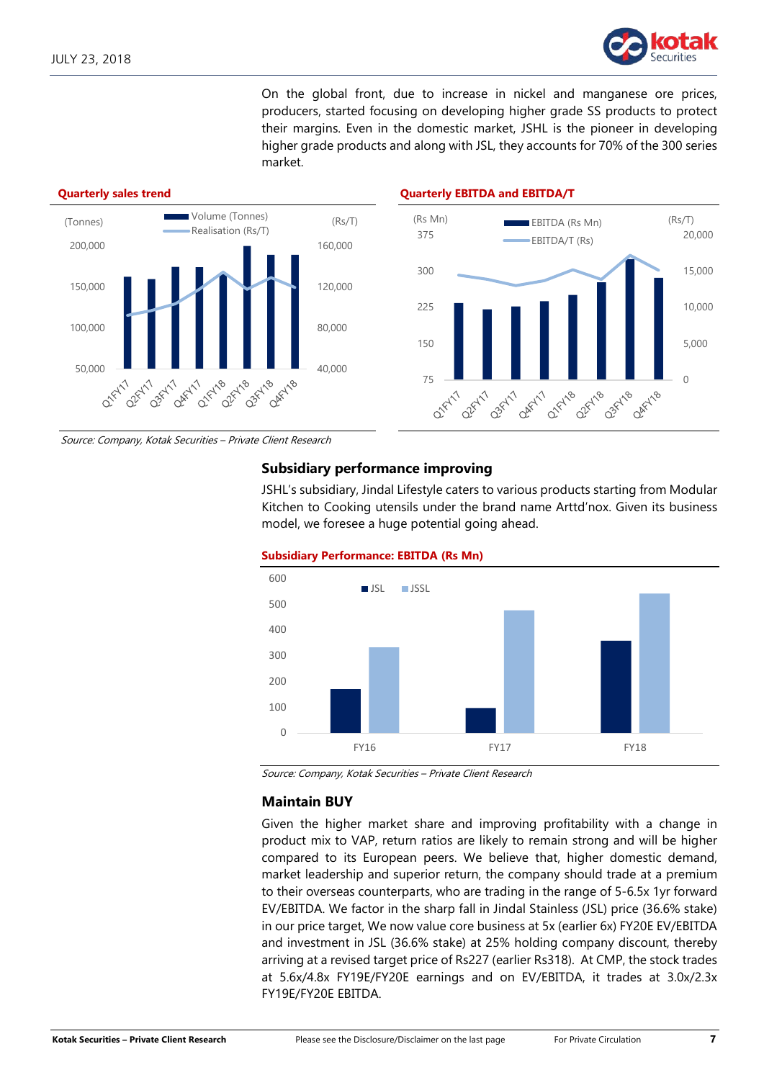

On the global front, due to increase in nickel and manganese ore prices, producers, started focusing on developing higher grade SS products to protect their margins. Even in the domestic market, JSHL is the pioneer in developing higher grade products and along with JSL, they accounts for 70% of the 300 series market.



Source: Company, Kotak Securities – Private Client Research

## **Subsidiary performance improving**

JSHL's subsidiary, Jindal Lifestyle caters to various products starting from Modular Kitchen to Cooking utensils under the brand name Arttd'nox. Given its business model, we foresee a huge potential going ahead.



**Subsidiary Performance: EBITDA (Rs Mn)**

Source: Company, Kotak Securities – Private Client Research

### **Maintain BUY**

Given the higher market share and improving profitability with a change in product mix to VAP, return ratios are likely to remain strong and will be higher compared to its European peers. We believe that, higher domestic demand, market leadership and superior return, the company should trade at a premium to their overseas counterparts, who are trading in the range of 5-6.5x 1yr forward EV/EBITDA. We factor in the sharp fall in Jindal Stainless (JSL) price (36.6% stake) in our price target, We now value core business at 5x (earlier 6x) FY20E EV/EBITDA and investment in JSL (36.6% stake) at 25% holding company discount, thereby arriving at a revised target price of Rs227 (earlier Rs318). At CMP, the stock trades at 5.6x/4.8x FY19E/FY20E earnings and on EV/EBITDA, it trades at 3.0x/2.3x FY19E/FY20E EBITDA.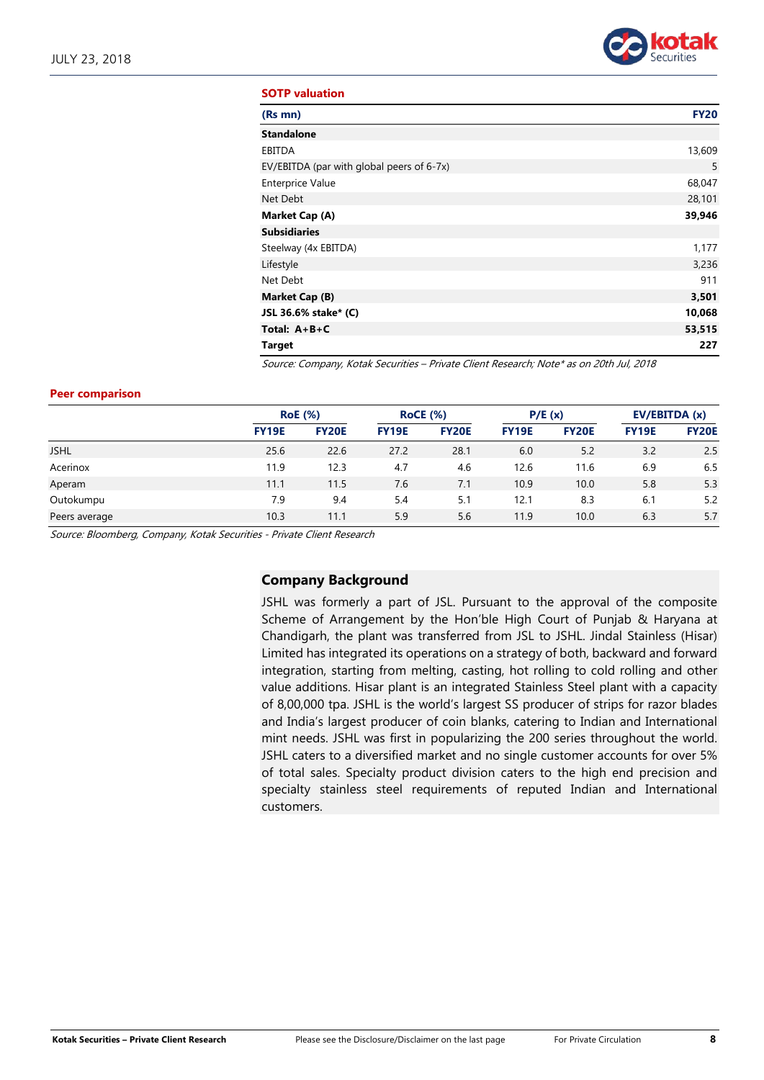

#### **SOTP valuation**

| (Rs mn)                                   | <b>FY20</b> |
|-------------------------------------------|-------------|
| <b>Standalone</b>                         |             |
| EBITDA                                    | 13,609      |
| EV/EBITDA (par with global peers of 6-7x) | 5           |
| <b>Enterprice Value</b>                   | 68,047      |
| Net Debt                                  | 28,101      |
| Market Cap (A)                            | 39,946      |
| <b>Subsidiaries</b>                       |             |
| Steelway (4x EBITDA)                      | 1,177       |
| Lifestyle                                 | 3,236       |
| Net Debt                                  | 911         |
| Market Cap (B)                            | 3,501       |
| JSL 36.6% stake* (C)                      | 10,068      |
| Total: $A+B+C$                            | 53,515      |
| Target                                    | 227         |

Source: Company, Kotak Securities – Private Client Research; Note\* as on 20th Jul, 2018

#### **Peer comparison**

|               |              | <b>RoE</b> (%) | <b>RoCE (%)</b> |              | P/E(x)       |              | EV/EBITDA (x) |              |
|---------------|--------------|----------------|-----------------|--------------|--------------|--------------|---------------|--------------|
|               | <b>FY19E</b> | <b>FY20E</b>   | <b>FY19E</b>    | <b>FY20E</b> | <b>FY19E</b> | <b>FY20E</b> | <b>FY19E</b>  | <b>FY20E</b> |
| <b>JSHL</b>   | 25.6         | 22.6           | 27.2            | 28.1         | 6.0          | 5.2          | 3.2           | 2.5          |
| Acerinox      | 11.9         | 12.3           | 4.7             | 4.6          | 12.6         | 11.6         | 6.9           | 6.5          |
| Aperam        | 11.1         | 11.5           | 7.6             | 7.1          | 10.9         | 10.0         | 5.8           | 5.3          |
| Outokumpu     | 7.9          | 9.4            | 5.4             | 5.1          | 12.1         | 8.3          | 6.1           | 5.2          |
| Peers average | 10.3         | 11.1           | 5.9             | 5.6          | 11.9         | 10.0         | 6.3           | 5.7          |

Source: Bloomberg, Company, Kotak Securities - Private Client Research

### **Company Background**

JSHL was formerly a part of JSL. Pursuant to the approval of the composite Scheme of Arrangement by the Hon'ble High Court of Punjab & Haryana at Chandigarh, the plant was transferred from JSL to JSHL. Jindal Stainless (Hisar) Limited has integrated its operations on a strategy of both, backward and forward integration, starting from melting, casting, hot rolling to cold rolling and other value additions. Hisar plant is an integrated Stainless Steel plant with a capacity of 8,00,000 tpa. JSHL is the world's largest SS producer of strips for razor blades and India's largest producer of coin blanks, catering to Indian and International mint needs. JSHL was first in popularizing the 200 series throughout the world. JSHL caters to a diversified market and no single customer accounts for over 5% of total sales. Specialty product division caters to the high end precision and specialty stainless steel requirements of reputed Indian and International customers.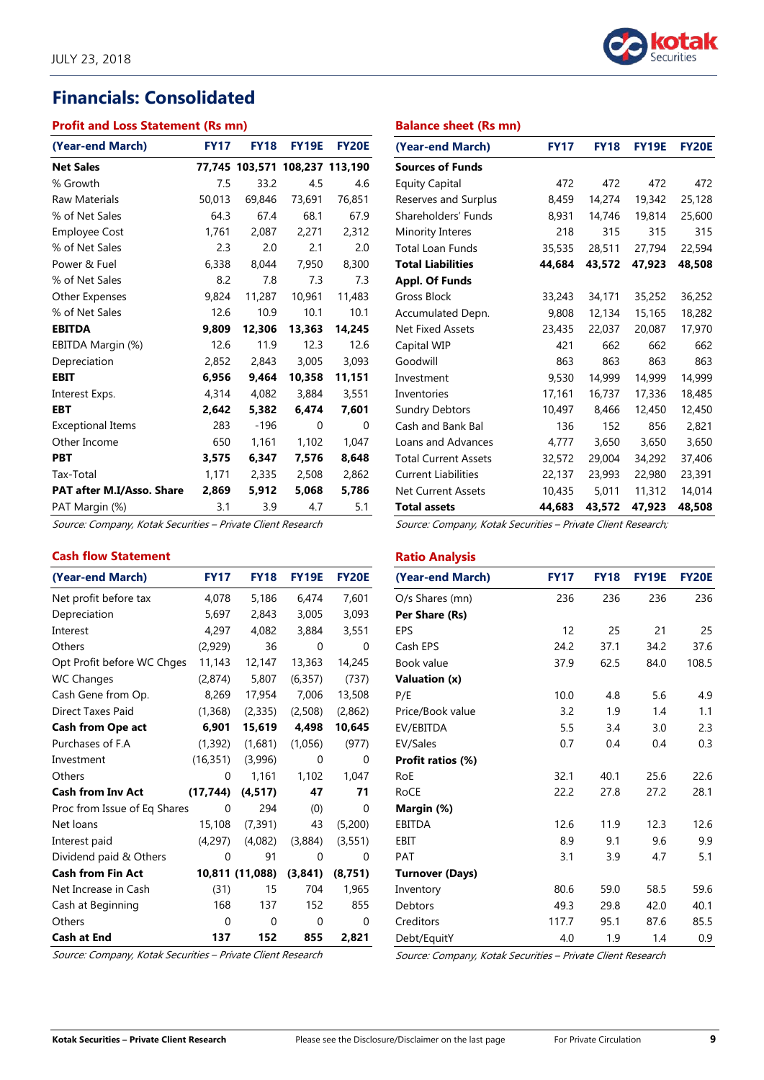# **Financials: Consolidated**

#### **Profit and Loss Statement (Rs mn)**

| (Year-end March)          | <b>FY17</b> | <b>FY18</b>                    | <b>FY19E</b> | <b>FY20E</b> |
|---------------------------|-------------|--------------------------------|--------------|--------------|
| <b>Net Sales</b>          |             | 77,745 103,571 108,237 113,190 |              |              |
| % Growth                  | 7.5         | 33.2                           | 4.5          | 4.6          |
| <b>Raw Materials</b>      | 50,013      | 69,846                         | 73,691       | 76,851       |
| % of Net Sales            | 64.3        | 67.4                           | 68.1         | 67.9         |
| <b>Employee Cost</b>      | 1,761       | 2,087                          | 2,271        | 2,312        |
| % of Net Sales            | 2.3         | 2.0                            | 2.1          | 2.0          |
| Power & Fuel              | 6,338       | 8,044                          | 7,950        | 8,300        |
| % of Net Sales            | 8.2         | 7.8                            | 7.3          | 7.3          |
| Other Expenses            | 9,824       | 11,287                         | 10,961       | 11,483       |
| % of Net Sales            | 12.6        | 10.9                           | 10.1         | 10.1         |
| <b>EBITDA</b>             | 9,809       | 12,306                         | 13,363       | 14,245       |
| EBITDA Margin (%)         | 12.6        | 11.9                           | 12.3         | 12.6         |
| Depreciation              | 2,852       | 2,843                          | 3,005        | 3,093        |
| EBIT                      | 6.956       | 9.464                          | 10,358       | 11,151       |
| Interest Exps.            | 4,314       | 4,082                          | 3,884        | 3,551        |
| EBT                       | 2,642       | 5,382                          | 6,474        | 7,601        |
| <b>Exceptional Items</b>  | 283         | -196                           | 0            | 0            |
| Other Income              | 650         | 1,161                          | 1,102        | 1,047        |
| <b>PBT</b>                | 3,575       | 6,347                          | 7,576        | 8,648        |
| Tax-Total                 | 1,171       | 2,335                          | 2,508        | 2,862        |
| PAT after M.I/Asso. Share | 2,869       | 5,912                          | 5,068        | 5,786        |
| PAT Margin (%)            | 3.1         | 3.9                            | 4.7          | 5.1          |

Source: Company, Kotak Securities – Private Client Research

# **Cash flow Statement**

| (Year-end March)             | <b>FY17</b> | <b>FY18</b>     | <b>FY19E</b> | <b>FY20E</b> |
|------------------------------|-------------|-----------------|--------------|--------------|
| Net profit before tax        | 4,078       | 5,186           | 6,474        | 7,601        |
| Depreciation                 | 5,697       | 2,843           | 3,005        | 3,093        |
| Interest                     | 4,297       | 4,082           | 3,884        | 3,551        |
| Others                       | (2,929)     | 36              | 0            | 0            |
| Opt Profit before WC Chges   | 11,143      | 12,147          | 13,363       | 14,245       |
| <b>WC Changes</b>            | (2,874)     | 5,807           | (6,357)      | (737)        |
| Cash Gene from Op.           | 8,269       | 17,954          | 7,006        | 13,508       |
| Direct Taxes Paid            | (1,368)     | (2,335)         | (2,508)      | (2,862)      |
| <b>Cash from Ope act</b>     | 6,901       | 15,619          | 4,498        | 10,645       |
| Purchases of F.A             | (1,392)     | (1,681)         | (1,056)      | (977)        |
| Investment                   | (16, 351)   | (3,996)         | 0            | 0            |
| Others                       | 0           | 1,161           | 1,102        | 1,047        |
| <b>Cash from Inv Act</b>     | (17, 744)   | (4, 517)        | 47           | 71           |
| Proc from Issue of Eq Shares | 0           | 294             | (0)          | 0            |
| Net loans                    | 15,108      | (7, 391)        | 43           | (5,200)      |
| Interest paid                | (4,297)     | (4,082)         | (3,884)      | (3,551)      |
| Dividend paid & Others       | 0           | 91              | 0            | 0            |
| <b>Cash from Fin Act</b>     |             | 10,811 (11,088) | (3,841)      | (8, 751)     |
| Net Increase in Cash         | (31)        | 15              | 704          | 1,965        |
| Cash at Beginning            | 168         | 137             | 152          | 855          |
| Others                       | 0           | 0               | 0            | 0            |
| <b>Cash at End</b>           | 137         | 152             | 855          | 2,821        |

Source: Company, Kotak Securities – Private Client Research



#### **Balance sheet (Rs mn)**

| (Year-end March)            | <b>FY17</b> | <b>FY18</b> | <b>FY19E</b> | <b>FY20E</b> |
|-----------------------------|-------------|-------------|--------------|--------------|
| <b>Sources of Funds</b>     |             |             |              |              |
| <b>Equity Capital</b>       | 472         | 472         | 472          | 472          |
| Reserves and Surplus        | 8,459       | 14,274      | 19,342       | 25,128       |
| Shareholders' Funds         | 8,931       | 14,746      | 19,814       | 25,600       |
| Minority Interes            | 218         | 315         | 315          | 315          |
| <b>Total Loan Funds</b>     | 35,535      | 28,511      | 27,794       | 22,594       |
| <b>Total Liabilities</b>    | 44,684      | 43,572      | 47,923       | 48,508       |
| <b>Appl. Of Funds</b>       |             |             |              |              |
| Gross Block                 | 33,243      | 34,171      | 35,252       | 36,252       |
| Accumulated Depn.           | 9,808       | 12,134      | 15,165       | 18,282       |
| <b>Net Fixed Assets</b>     | 23,435      | 22,037      | 20,087       | 17,970       |
| Capital WIP                 | 421         | 662         | 662          | 662          |
| Goodwill                    | 863         | 863         | 863          | 863          |
| Investment                  | 9,530       | 14,999      | 14,999       | 14,999       |
| Inventories                 | 17,161      | 16,737      | 17,336       | 18,485       |
| <b>Sundry Debtors</b>       | 10,497      | 8,466       | 12,450       | 12,450       |
| Cash and Bank Bal           | 136         | 152         | 856          | 2,821        |
| Loans and Advances          | 4,777       | 3,650       | 3,650        | 3,650        |
| <b>Total Current Assets</b> | 32,572      | 29,004      | 34,292       | 37,406       |
| <b>Current Liabilities</b>  | 22,137      | 23,993      | 22,980       | 23,391       |
| <b>Net Current Assets</b>   | 10,435      | 5,011       | 11,312       | 14,014       |
| <b>Total assets</b>         | 44,683      | 43,572      | 47,923       | 48,508       |

Source: Company, Kotak Securities – Private Client Research;

## **Ratio Analysis**

| (Year-end March)       | <b>FY17</b> | <b>FY18</b> | <b>FY19E</b> | <b>FY20E</b> |
|------------------------|-------------|-------------|--------------|--------------|
| O/s Shares (mn)        | 236         | 236         | 236          | 236          |
| Per Share (Rs)         |             |             |              |              |
| EPS                    | 12          | 25          | 21           | 25           |
| Cash EPS               | 24.2        | 37.1        | 34.2         | 37.6         |
| Book value             | 37.9        | 62.5        | 84.0         | 108.5        |
| Valuation (x)          |             |             |              |              |
| P/E                    | 10.0        | 4.8         | 5.6          | 4.9          |
| Price/Book value       | 3.2         | 1.9         | 1.4          | 1.1          |
| EV/EBITDA              | 5.5         | 3.4         | 3.0          | 2.3          |
| EV/Sales               | 0.7         | 0.4         | 0.4          | 0.3          |
| Profit ratios (%)      |             |             |              |              |
| RoE                    | 32.1        | 40.1        | 25.6         | 22.6         |
| RoCE                   | 22.2        | 27.8        | 27.2         | 28.1         |
| Margin (%)             |             |             |              |              |
| EBITDA                 | 12.6        | 11.9        | 12.3         | 12.6         |
| EBIT                   | 8.9         | 9.1         | 9.6          | 9.9          |
| <b>PAT</b>             | 3.1         | 3.9         | 4.7          | 5.1          |
| <b>Turnover (Days)</b> |             |             |              |              |
| Inventory              | 80.6        | 59.0        | 58.5         | 59.6         |
| Debtors                | 49.3        | 29.8        | 42.0         | 40.1         |
| Creditors              | 117.7       | 95.1        | 87.6         | 85.5         |
| Debt/EquitY            | 4.0         | 1.9         | 1.4          | 0.9          |

Source: Company, Kotak Securities – Private Client Research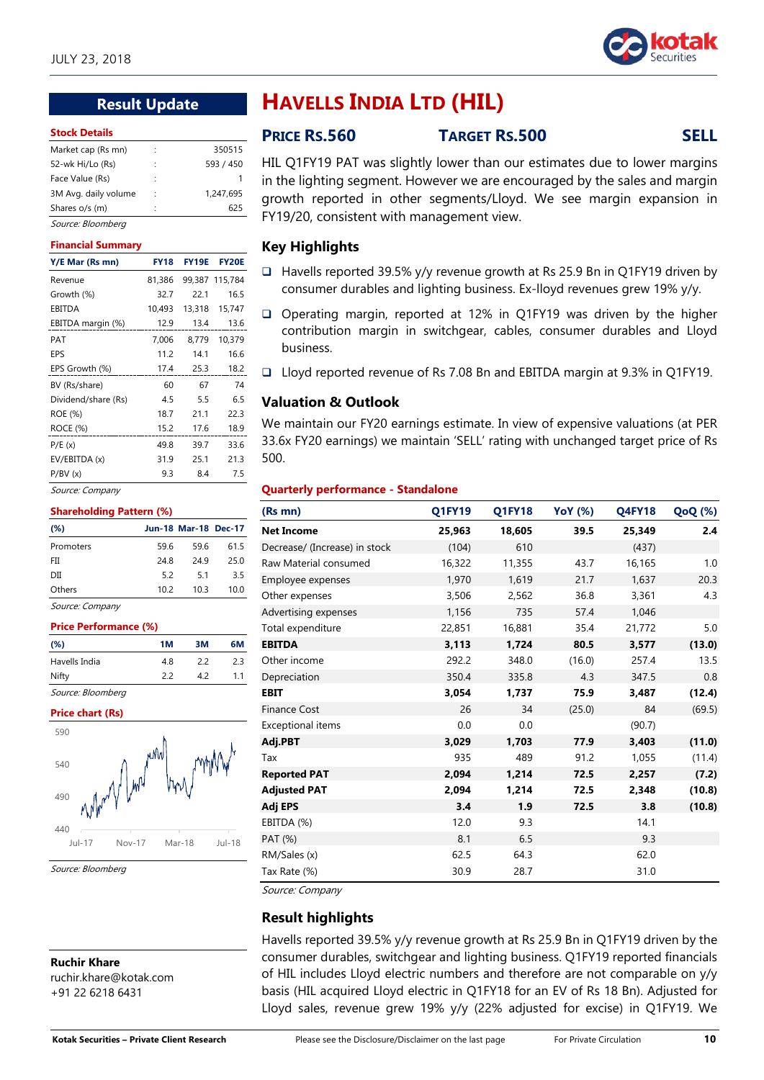

# **Result Update**

#### **Stock Details**

| Market cap (Rs mn)   | ٠ | 350515    |
|----------------------|---|-----------|
| 52-wk Hi/Lo (Rs)     | ٠ | 593 / 450 |
| Face Value (Rs)      | ٠ |           |
| 3M Avg. daily volume | ٠ | 1.247.695 |
| Shares o/s (m)       | ٠ | 625       |
|                      |   |           |

## Source: Bloomberg

#### **Financial Summary**

| Y/E Mar (Rs mn)     | <b>FY18</b> | <b>FY19E</b> | <b>FY20E</b>   |
|---------------------|-------------|--------------|----------------|
| Revenue             | 81,386      |              | 99,387 115,784 |
| Growth (%)          | 32.7        | 22.1         | 16.5           |
| <b>EBITDA</b>       | 10,493      | 13,318       | 15,747         |
| EBITDA margin (%)   | 12.9        | 13.4         | 13.6           |
| PAT                 | 7,006       | 8,779        | 10,379         |
| EPS                 | 11.2        | 14.1         | 16.6           |
| EPS Growth (%)      | 17.4        | 25.3         | 18.2           |
| BV (Rs/share)       | 60          | 67           | 74             |
| Dividend/share (Rs) | 4.5         | 5.5          | 6.5            |
| ROE (%)             | 18.7        | 21.1         | 22.3           |
| ROCE (%)            | 15.2        | 17.6         | 18.9           |
| P/E(x)              | 49.8        | 39.7         | 33.6           |
| EV/EBITDA (x)       | 31.9        | 25.1         | 21.3           |
| P/BV(x)             | 9.3         | 8.4          | 7.5            |

Source: Company

#### **Shareholding Pattern (%)**

| $(\%)$      |      | <b>Jun-18 Mar-18 Dec-17</b> |      |
|-------------|------|-----------------------------|------|
| Promoters   | 59.6 | 59.6                        | 61.5 |
| FII         | 248  | 249                         | 25.0 |
| DІІ         | 5.2  | 5.1                         | 3.5  |
| Others      | 10.2 | 10.3                        | 10.0 |
| -<br>$\sim$ |      |                             |      |

Source: Company

| <b>Price Performance (%)</b> |    |    |    |  |  |  |
|------------------------------|----|----|----|--|--|--|
| (%)                          | 1M | ЗM | 6М |  |  |  |
| Havells India                | 48 | 22 | 23 |  |  |  |
| Nifty                        | 22 | 42 | 11 |  |  |  |
| Source: Bloombera            |    |    |    |  |  |  |

#### **Price chart (Rs)**



Source: Bloomberg

**Ruchir Khare** ruchir.khare@kotak.com +91 22 6218 6431

# **HAVELLS INDIA LTD (HIL)**

# **PRICE RS.560 TARGET RS.500 SELL**

HIL Q1FY19 PAT was slightly lower than our estimates due to lower margins in the lighting segment. However we are encouraged by the sales and margin growth reported in other segments/Lloyd. We see margin expansion in FY19/20, consistent with management view.

# **Key Highlights**

- Havells reported 39.5% y/y revenue growth at Rs 25.9 Bn in Q1FY19 driven by consumer durables and lighting business. Ex-lloyd revenues grew 19% y/y.
- □ Operating margin, reported at 12% in Q1FY19 was driven by the higher contribution margin in switchgear, cables, consumer durables and Lloyd business.
- Lloyd reported revenue of Rs 7.08 Bn and EBITDA margin at 9.3% in Q1FY19.

#### **Valuation & Outlook**

We maintain our FY20 earnings estimate. In view of expensive valuations (at PER 33.6x FY20 earnings) we maintain 'SELL' rating with unchanged target price of Rs 500.

#### **Quarterly performance - Standalone**

| (Rs mn)                       | <b>Q1FY19</b> | Q1FY18 | <b>YoY</b> (%) | <b>Q4FY18</b> | <b>QoQ</b> (%) |
|-------------------------------|---------------|--------|----------------|---------------|----------------|
| <b>Net Income</b>             | 25,963        | 18,605 | 39.5           | 25,349        | 2.4            |
| Decrease/ (Increase) in stock | (104)         | 610    |                | (437)         |                |
| Raw Material consumed         | 16,322        | 11,355 | 43.7           | 16,165        | 1.0            |
| Employee expenses             | 1,970         | 1,619  | 21.7           | 1,637         | 20.3           |
| Other expenses                | 3,506         | 2,562  | 36.8           | 3,361         | 4.3            |
| Advertising expenses          | 1,156         | 735    | 57.4           | 1,046         |                |
| Total expenditure             | 22,851        | 16,881 | 35.4           | 21,772        | 5.0            |
| <b>EBITDA</b>                 | 3,113         | 1,724  | 80.5           | 3,577         | (13.0)         |
| Other income                  | 292.2         | 348.0  | (16.0)         | 257.4         | 13.5           |
| Depreciation                  | 350.4         | 335.8  | 4.3            | 347.5         | 0.8            |
| <b>EBIT</b>                   | 3,054         | 1,737  | 75.9           | 3,487         | (12.4)         |
| <b>Finance Cost</b>           | 26            | 34     | (25.0)         | 84            | (69.5)         |
| Exceptional items             | 0.0           | 0.0    |                | (90.7)        |                |
| Adj.PBT                       | 3,029         | 1,703  | 77.9           | 3,403         | (11.0)         |
| Tax                           | 935           | 489    | 91.2           | 1,055         | (11.4)         |
| <b>Reported PAT</b>           | 2,094         | 1,214  | 72.5           | 2,257         | (7.2)          |
| <b>Adjusted PAT</b>           | 2,094         | 1,214  | 72.5           | 2,348         | (10.8)         |
| Adj EPS                       | 3.4           | 1.9    | 72.5           | 3.8           | (10.8)         |
| EBITDA (%)                    | 12.0          | 9.3    |                | 14.1          |                |
| PAT (%)                       | 8.1           | 6.5    |                | 9.3           |                |
| RM/Sales (x)                  | 62.5          | 64.3   |                | 62.0          |                |
| Tax Rate (%)                  | 30.9          | 28.7   |                | 31.0          |                |

Source: Company

# **Result highlights**

Havells reported 39.5% y/y revenue growth at Rs 25.9 Bn in Q1FY19 driven by the consumer durables, switchgear and lighting business. Q1FY19 reported financials of HIL includes Lloyd electric numbers and therefore are not comparable on y/y basis (HIL acquired Lloyd electric in Q1FY18 for an EV of Rs 18 Bn). Adjusted for Lloyd sales, revenue grew 19% y/y (22% adjusted for excise) in Q1FY19. We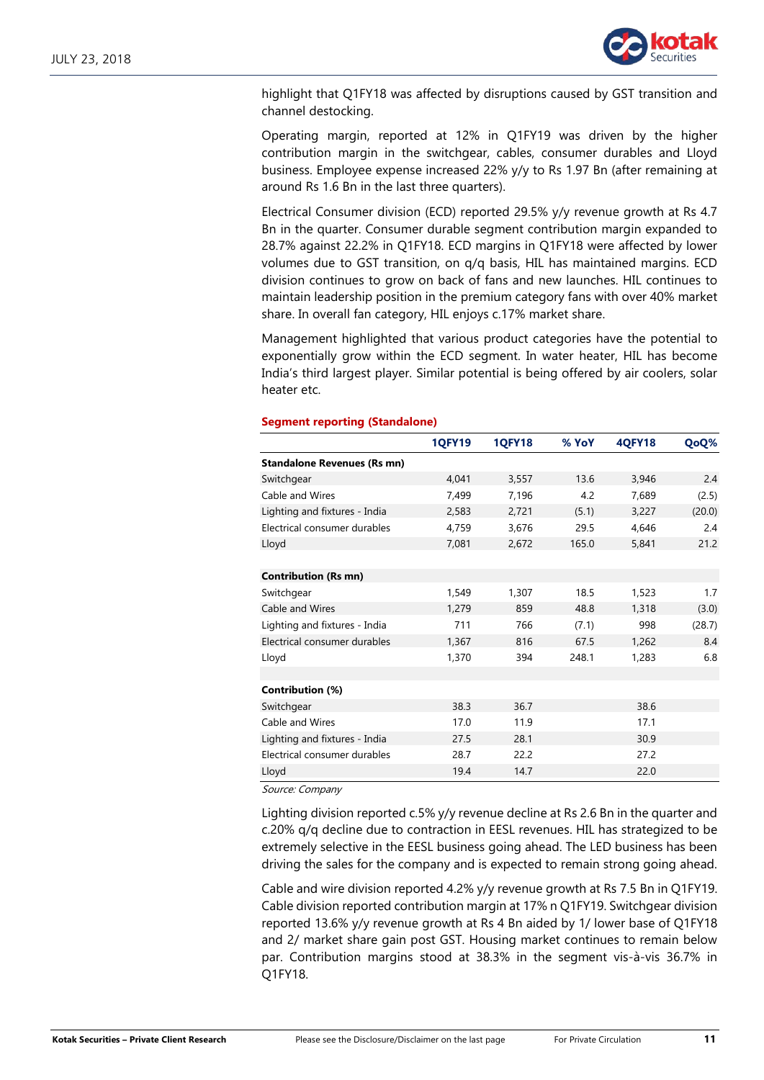

highlight that Q1FY18 was affected by disruptions caused by GST transition and channel destocking.

Operating margin, reported at 12% in Q1FY19 was driven by the higher contribution margin in the switchgear, cables, consumer durables and Lloyd business. Employee expense increased 22% y/y to Rs 1.97 Bn (after remaining at around Rs 1.6 Bn in the last three quarters).

Electrical Consumer division (ECD) reported 29.5% y/y revenue growth at Rs 4.7 Bn in the quarter. Consumer durable segment contribution margin expanded to 28.7% against 22.2% in Q1FY18. ECD margins in Q1FY18 were affected by lower volumes due to GST transition, on q/q basis, HIL has maintained margins. ECD division continues to grow on back of fans and new launches. HIL continues to maintain leadership position in the premium category fans with over 40% market share. In overall fan category, HIL enjoys c.17% market share.

Management highlighted that various product categories have the potential to exponentially grow within the ECD segment. In water heater, HIL has become India's third largest player. Similar potential is being offered by air coolers, solar heater etc.

|                                    | <b>1QFY19</b> | <b>1QFY18</b> | % YoY | <b>4QFY18</b> | QoQ%   |
|------------------------------------|---------------|---------------|-------|---------------|--------|
| <b>Standalone Revenues (Rs mn)</b> |               |               |       |               |        |
| Switchgear                         | 4,041         | 3,557         | 13.6  | 3,946         | 2.4    |
| Cable and Wires                    | 7,499         | 7,196         | 4.2   | 7,689         | (2.5)  |
| Lighting and fixtures - India      | 2,583         | 2,721         | (5.1) | 3,227         | (20.0) |
| Electrical consumer durables       | 4,759         | 3,676         | 29.5  | 4,646         | 2.4    |
| Lloyd                              | 7,081         | 2,672         | 165.0 | 5,841         | 21.2   |
|                                    |               |               |       |               |        |
| <b>Contribution (Rs mn)</b>        |               |               |       |               |        |
| Switchgear                         | 1,549         | 1,307         | 18.5  | 1,523         | 1.7    |
| Cable and Wires                    | 1,279         | 859           | 48.8  | 1,318         | (3.0)  |
| Lighting and fixtures - India      | 711           | 766           | (7.1) | 998           | (28.7) |
| Electrical consumer durables       | 1,367         | 816           | 67.5  | 1,262         | 8.4    |
| Lloyd                              | 1,370         | 394           | 248.1 | 1,283         | 6.8    |
|                                    |               |               |       |               |        |
| Contribution (%)                   |               |               |       |               |        |
| Switchgear                         | 38.3          | 36.7          |       | 38.6          |        |
| Cable and Wires                    | 17.0          | 11.9          |       | 17.1          |        |
| Lighting and fixtures - India      | 27.5          | 28.1          |       | 30.9          |        |
| Electrical consumer durables       | 28.7          | 22.2          |       | 27.2          |        |
| Lloyd                              | 19.4          | 14.7          |       | 22.0          |        |

#### **Segment reporting (Standalone)**

Source: Company

Lighting division reported c.5% y/y revenue decline at Rs 2.6 Bn in the quarter and c.20% q/q decline due to contraction in EESL revenues. HIL has strategized to be extremely selective in the EESL business going ahead. The LED business has been driving the sales for the company and is expected to remain strong going ahead.

Cable and wire division reported 4.2% y/y revenue growth at Rs 7.5 Bn in Q1FY19. Cable division reported contribution margin at 17% n Q1FY19. Switchgear division reported 13.6% y/y revenue growth at Rs 4 Bn aided by 1/ lower base of Q1FY18 and 2/ market share gain post GST. Housing market continues to remain below par. Contribution margins stood at 38.3% in the segment vis-à-vis 36.7% in Q1FY18.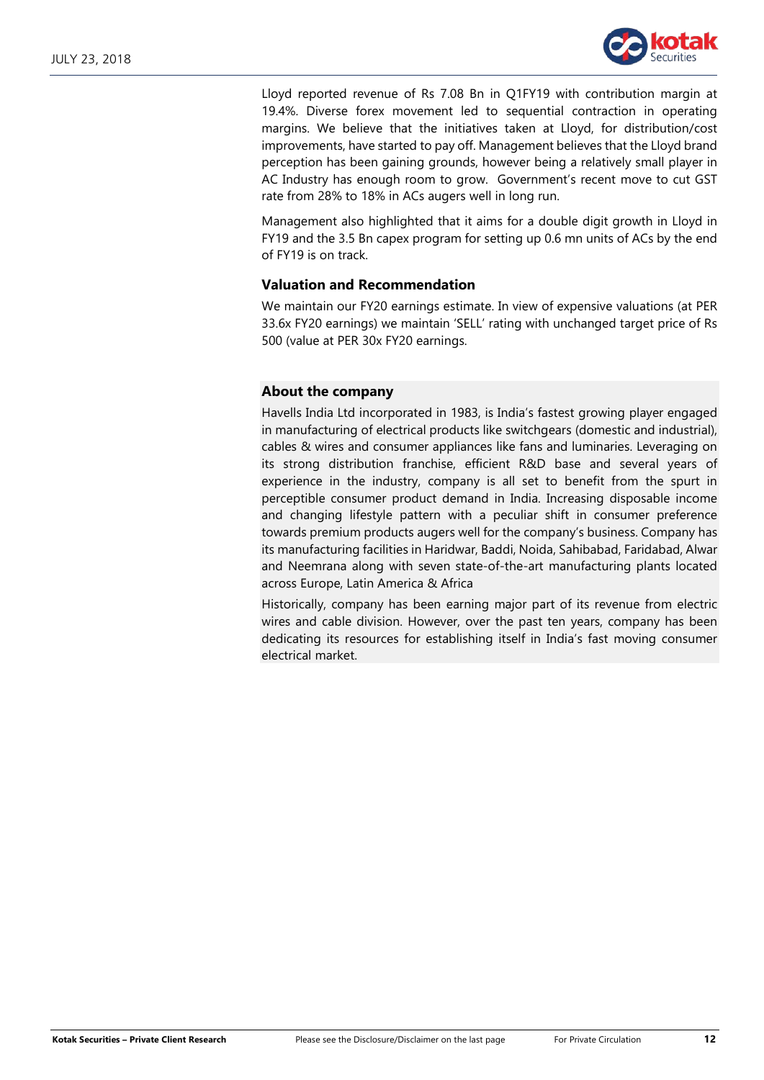

Lloyd reported revenue of Rs 7.08 Bn in Q1FY19 with contribution margin at 19.4%. Diverse forex movement led to sequential contraction in operating margins. We believe that the initiatives taken at Lloyd, for distribution/cost improvements, have started to pay off. Management believes that the Lloyd brand perception has been gaining grounds, however being a relatively small player in AC Industry has enough room to grow. Government's recent move to cut GST rate from 28% to 18% in ACs augers well in long run.

Management also highlighted that it aims for a double digit growth in Lloyd in FY19 and the 3.5 Bn capex program for setting up 0.6 mn units of ACs by the end of FY19 is on track.

### **Valuation and Recommendation**

We maintain our FY20 earnings estimate. In view of expensive valuations (at PER 33.6x FY20 earnings) we maintain 'SELL' rating with unchanged target price of Rs 500 (value at PER 30x FY20 earnings.

## **About the company**

Havells India Ltd incorporated in 1983, is India's fastest growing player engaged in manufacturing of electrical products like switchgears (domestic and industrial), cables & wires and consumer appliances like fans and luminaries. Leveraging on its strong distribution franchise, efficient R&D base and several years of experience in the industry, company is all set to benefit from the spurt in perceptible consumer product demand in India. Increasing disposable income and changing lifestyle pattern with a peculiar shift in consumer preference towards premium products augers well for the company's business. Company has its manufacturing facilities in Haridwar, Baddi, Noida, Sahibabad, Faridabad, Alwar and Neemrana along with seven state-of-the-art manufacturing plants located across Europe, Latin America & Africa

Historically, company has been earning major part of its revenue from electric wires and cable division. However, over the past ten years, company has been dedicating its resources for establishing itself in India's fast moving consumer electrical market.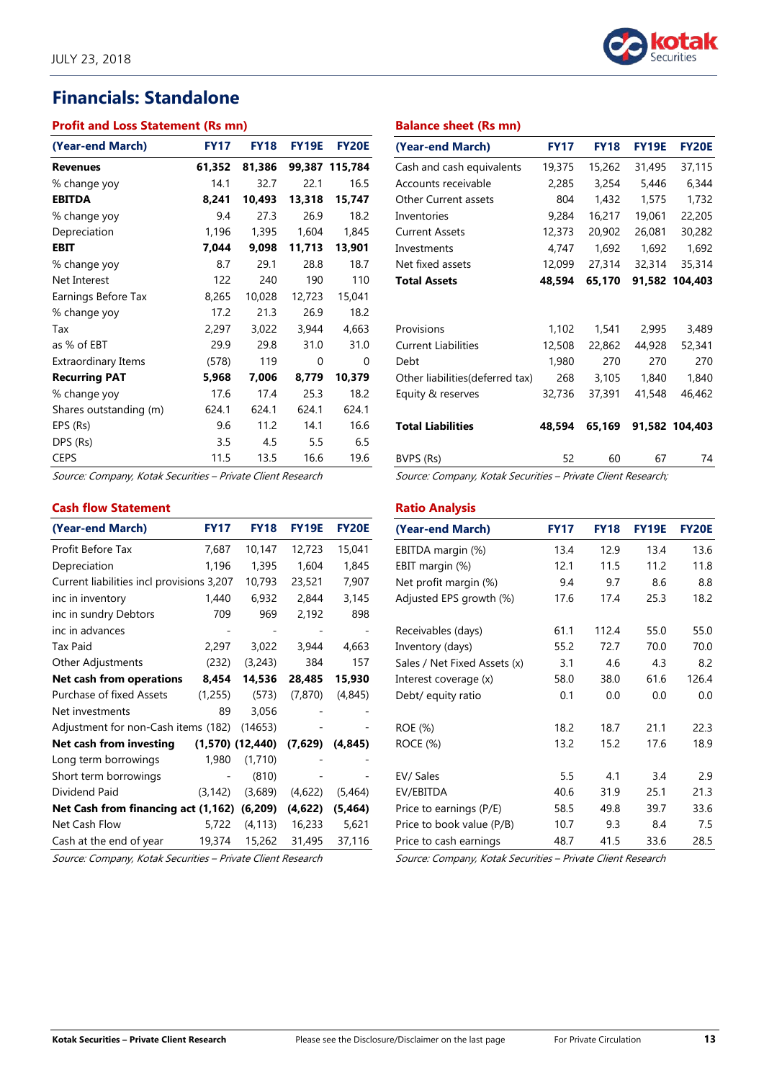# **Financials: Standalone**

#### **Profit and Loss Statement (Rs mn)**

| (Year-end March)       | <b>FY17</b> | <b>FY18</b> | <b>FY19E</b> | <b>FY20E</b>   |
|------------------------|-------------|-------------|--------------|----------------|
| <b>Revenues</b>        | 61,352      | 81,386      |              | 99,387 115,784 |
| % change yoy           | 14.1        | 32.7        | 22.1         | 16.5           |
| <b>EBITDA</b>          | 8,241       | 10,493      | 13,318       | 15,747         |
| % change yoy           | 9.4         | 27.3        | 26.9         | 18.2           |
| Depreciation           | 1,196       | 1,395       | 1,604        | 1,845          |
| EBIT                   | 7,044       | 9,098       | 11,713       | 13,901         |
| % change yoy           | 8.7         | 29.1        | 28.8         | 18.7           |
| Net Interest           | 122         | 240         | 190          | 110            |
| Earnings Before Tax    | 8,265       | 10,028      | 12,723       | 15,041         |
| % change yoy           | 17.2        | 21.3        | 26.9         | 18.2           |
| Tax                    | 2,297       | 3,022       | 3,944        | 4,663          |
| as % of EBT            | 29.9        | 29.8        | 31.0         | 31.0           |
| Extraordinary Items    | (578)       | 119         | 0            | 0              |
| <b>Recurring PAT</b>   | 5,968       | 7,006       | 8,779        | 10,379         |
| % change yoy           | 17.6        | 17.4        | 25.3         | 18.2           |
| Shares outstanding (m) | 624.1       | 624.1       | 624.1        | 624.1          |
| EPS (Rs)               | 9.6         | 11.2        | 14.1         | 16.6           |
| DPS (Rs)               | 3.5         | 4.5         | 5.5          | 6.5            |
| <b>CEPS</b>            | 11.5        | 13.5        | 16.6         | 19.6           |

Source: Company, Kotak Securities – Private Client Research

### **Cash flow Statement**

| (Year-end March)                            | <b>FY17</b> | <b>FY18</b>          | <b>FY19E</b> | <b>FY20E</b> |
|---------------------------------------------|-------------|----------------------|--------------|--------------|
| Profit Before Tax                           | 7,687       | 10,147               | 12,723       | 15,041       |
| Depreciation                                | 1,196       | 1,395                | 1,604        | 1,845        |
| Current liabilities incl provisions 3,207   |             | 10,793               | 23,521       | 7,907        |
| inc in inventory                            | 1,440       | 6,932                | 2,844        | 3,145        |
| inc in sundry Debtors                       | 709         | 969                  | 2,192        | 898          |
| inc in advances                             |             |                      |              |              |
| Tax Paid                                    | 2,297       | 3,022                | 3,944        | 4,663        |
| Other Adjustments                           | (232)       | (3,243)              | 384          | 157          |
| Net cash from operations                    | 8,454       | 14,536               | 28,485       | 15,930       |
| Purchase of fixed Assets                    | (1,255)     | (573)                | (7, 870)     | (4, 845)     |
| Net investments                             | 89          | 3,056                |              |              |
| Adjustment for non-Cash items (182)         |             | (14653)              |              |              |
| Net cash from investing                     |             | $(1,570)$ $(12,440)$ | (7,629)      | (4, 845)     |
| Long term borrowings                        | 1,980       | (1,710)              |              |              |
| Short term borrowings                       |             | (810)                |              |              |
| Dividend Paid                               | (3, 142)    | (3,689)              | (4,622)      | (5, 464)     |
| Net Cash from financing act (1,162) (6,209) |             |                      | (4,622)      | (5, 464)     |
| Net Cash Flow                               |             | 5,722 (4,113)        | 16,233       | 5,621        |
| Cash at the end of year                     | 19,374      | 15,262               | 31,495       | 37,116       |

Source: Company, Kotak Securities – Private Client Research

| (Year-end March)                 | <b>FY17</b> | <b>FY18</b> | <b>FY19E</b> | <b>FY20E</b>   |
|----------------------------------|-------------|-------------|--------------|----------------|
| Cash and cash equivalents        | 19,375      | 15,262      | 31,495       | 37,115         |
| Accounts receivable              | 2,285       | 3,254       | 5,446        | 6,344          |
| <b>Other Current assets</b>      | 804         | 1,432       | 1,575        | 1,732          |
| Inventories                      | 9,284       | 16,217      | 19,061       | 22,205         |
| <b>Current Assets</b>            | 12,373      | 20,902      | 26,081       | 30,282         |
| Investments                      | 4,747       | 1,692       | 1,692        | 1,692          |
| Net fixed assets                 | 12,099      | 27,314      | 32,314       | 35,314         |
| <b>Total Assets</b>              | 48,594      | 65,170      |              | 91,582 104,403 |
|                                  |             |             |              |                |
| Provisions                       | 1,102       | 1,541       | 2,995        | 3,489          |
| <b>Current Liabilities</b>       | 12,508      | 22,862      | 44,928       | 52,341         |
| Debt                             | 1,980       | 270         | 270          | 270            |
| Other liabilities (deferred tax) | 268         | 3,105       | 1,840        | 1,840          |
| Equity & reserves                | 32,736      | 37,391      | 41,548       | 46,462         |
|                                  |             |             |              |                |
| <b>Total Liabilities</b>         | 48.594      | 65,169      |              | 91,582 104,403 |
| BVPS (Rs)                        | 52          | 60          | 67           | 74             |

Source: Company, Kotak Securities – Private Client Research;

#### **Ratio Analysis**

| (Year-end March)             | <b>FY17</b> | <b>FY18</b> | <b>FY19E</b> | <b>FY20E</b> |
|------------------------------|-------------|-------------|--------------|--------------|
| EBITDA margin (%)            | 13.4        | 12.9        | 13.4         | 13.6         |
| EBIT margin (%)              | 12.1        | 11.5        | 11.2         | 11.8         |
| Net profit margin (%)        | 9.4         | 9.7         | 8.6          | 8.8          |
| Adjusted EPS growth (%)      | 17.6        | 17.4        | 25.3         | 18.2         |
| Receivables (days)           | 61.1        | 112.4       | 55.0         | 55.0         |
| Inventory (days)             | 55.2        | 72.7        | 70.0         | 70.0         |
| Sales / Net Fixed Assets (x) | 3.1         | 4.6         | 4.3          | 8.2          |
| Interest coverage (x)        | 58.0        | 38.0        | 61.6         | 126.4        |
| Debt/ equity ratio           | 0.1         | 0.0         | 0.0          | 0.0          |
| ROE (%)                      | 18.2        | 18.7        | 21.1         | 22.3         |
| ROCE (%)                     | 13.2        | 15.2        | 17.6         | 18.9         |
| EV/ Sales                    | 5.5         | 4.1         | 3.4          | 2.9          |
| EV/EBITDA                    | 40.6        | 31.9        | 25.1         | 21.3         |
| Price to earnings (P/E)      | 58.5        | 49.8        | 39.7         | 33.6         |
| Price to book value (P/B)    | 10.7        | 9.3         | 8.4          | 7.5          |
| Price to cash earnings       | 48.7        | 41.5        | 33.6         | 28.5         |

Source: Company, Kotak Securities – Private Client Research

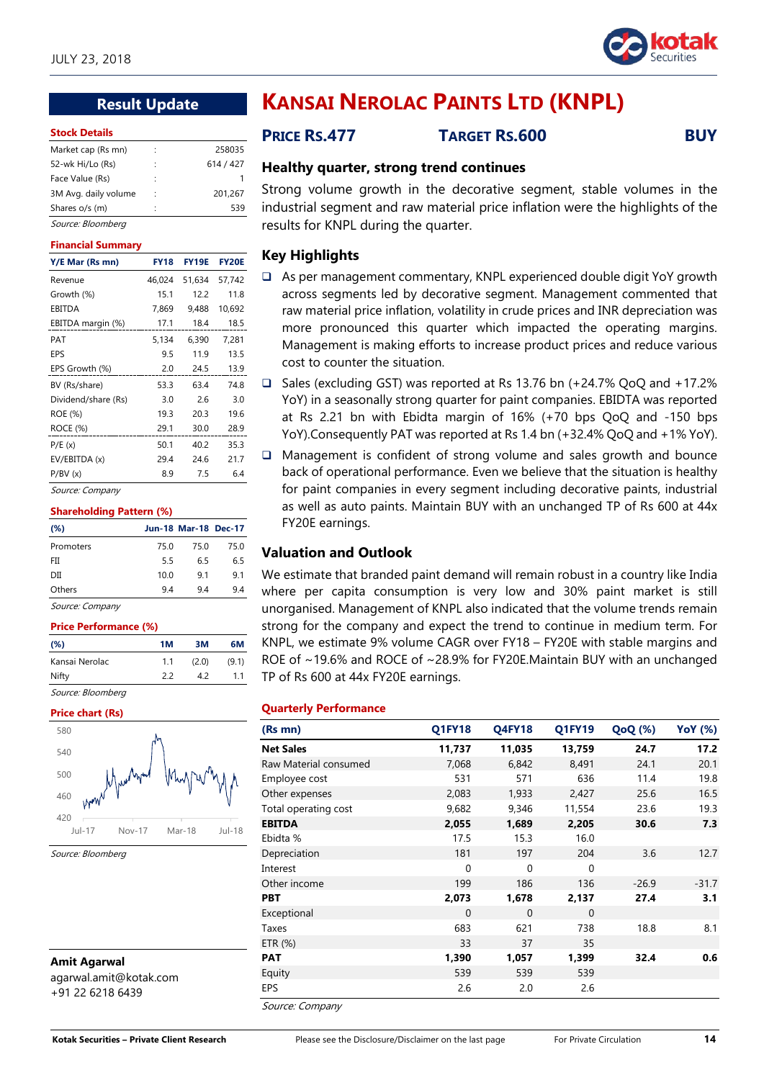

# **Result Update**

#### **Stock Details**

|   | 258035    |
|---|-----------|
|   | 614 / 427 |
|   |           |
| ÷ | 201,267   |
|   | 539       |
|   |           |

# Source: Bloomberg

#### **Financial Summary**

| Y/E Mar (Rs mn)     | <b>FY18</b> | <b>FY19E</b> | <b>FY20E</b> |
|---------------------|-------------|--------------|--------------|
| Revenue             | 46,024      | 51,634       | 57,742       |
| Growth (%)          | 15.1        | 12.2         | 11.8         |
| EBITDA              | 7,869       | 9,488        | 10,692       |
| EBITDA margin (%)   | 17.1        | 18.4         | 18.5         |
| PAT                 | 5,134       | 6,390        | 7,281        |
| EPS                 | 9.5         | 11.9         | 13.5         |
| EPS Growth (%)      | 2.0         | 24.5         | 13.9         |
| BV (Rs/share)       | 53.3        | 63.4         | 74.8         |
| Dividend/share (Rs) | 3.0         | 2.6          | 3.0          |
| ROE (%)             | 19.3        | 20.3         | 19.6         |
| ROCE (%)            | 29.1        | 30.0         | 28.9         |
| P/E(x)              | 50.1        | 40.2         | 35.3         |
| EV/EBITDA (x)       | 29.4        | 24.6         | 21.7         |
| P/BV(x)             | 8.9         | 7.5          | 6.4          |

Source: Company

#### **Shareholding Pattern (%)**

| (%)                                |      | <b>Jun-18 Mar-18 Dec-17</b> |      |
|------------------------------------|------|-----------------------------|------|
| Promoters                          | 75.0 | 75.0                        | 75.0 |
| FII                                | 5.5  | 6.5                         | 6.5  |
| DІІ                                | 10.0 | 9.1                         | 9.1  |
| Others                             | 94   | 94                          | 9.4  |
| $\sim$<br>$\overline{\phantom{0}}$ |      |                             |      |

Source: Company

#### **Price Performance (%)**

| $(\%)$            | 1M  | 3M    | 6М    |
|-------------------|-----|-------|-------|
| Kansai Nerolac    | 1.1 | (2.0) | (9.1) |
| Nifty             | 22  | 42    | 11    |
| Source: Bloomberg |     |       |       |

#### **Price chart (Rs)**



Source: Bloomberg

**Amit Agarwal** agarwal.amit@kotak.com +91 22 6218 6439

# **KANSAI NEROLAC PAINTS LTD (KNPL)**

# **PRICE RS.477 TARGET RS.600 BUY**

## **Healthy quarter, strong trend continues**

Strong volume growth in the decorative segment, stable volumes in the industrial segment and raw material price inflation were the highlights of the results for KNPL during the quarter.

## **Key Highlights**

- As per management commentary, KNPL experienced double digit YoY growth across segments led by decorative segment. Management commented that raw material price inflation, volatility in crude prices and INR depreciation was more pronounced this quarter which impacted the operating margins. Management is making efforts to increase product prices and reduce various cost to counter the situation.
- □ Sales (excluding GST) was reported at Rs 13.76 bn (+24.7% QoQ and +17.2% YoY) in a seasonally strong quarter for paint companies. EBIDTA was reported at Rs 2.21 bn with Ebidta margin of 16% (+70 bps QoQ and -150 bps YoY).Consequently PAT was reported at Rs 1.4 bn (+32.4% QoQ and +1% YoY).
- $\Box$  Management is confident of strong volume and sales growth and bounce back of operational performance. Even we believe that the situation is healthy for paint companies in every segment including decorative paints, industrial as well as auto paints. Maintain BUY with an unchanged TP of Rs 600 at 44x FY20E earnings.

# **Valuation and Outlook**

We estimate that branded paint demand will remain robust in a country like India where per capita consumption is very low and 30% paint market is still unorganised. Management of KNPL also indicated that the volume trends remain strong for the company and expect the trend to continue in medium term. For KNPL, we estimate 9% volume CAGR over FY18 – FY20E with stable margins and ROE of ~19.6% and ROCE of ~28.9% for FY20E.Maintain BUY with an unchanged TP of Rs 600 at 44x FY20E earnings.

#### **Quarterly Performance**

| (Rs mn)                                          | <b>Q1FY18</b> | <b>Q4FY18</b> | Q1FY19   | <b>QoQ</b> (%) | <b>YoY</b> (%) |
|--------------------------------------------------|---------------|---------------|----------|----------------|----------------|
| <b>Net Sales</b>                                 | 11,737        | 11,035        | 13,759   | 24.7           | 17.2           |
| Raw Material consumed                            | 7,068         | 6,842         | 8,491    | 24.1           | 20.1           |
| Employee cost                                    | 531           | 571           | 636      | 11.4           | 19.8           |
| Other expenses                                   | 2,083         | 1,933         | 2,427    | 25.6           | 16.5           |
| Total operating cost                             | 9,682         | 9,346         | 11,554   | 23.6           | 19.3           |
| <b>EBITDA</b>                                    | 2,055         | 1,689         | 2,205    | 30.6           | 7.3            |
| Ebidta %                                         | 17.5          | 15.3          | 16.0     |                |                |
| Depreciation                                     | 181           | 197           | 204      | 3.6            | 12.7           |
| Interest                                         | $\Omega$      | $\Omega$      | $\Omega$ |                |                |
| Other income                                     | 199           | 186           | 136      | $-26.9$        | $-31.7$        |
| <b>PBT</b>                                       | 2,073         | 1,678         | 2,137    | 27.4           | 3.1            |
| Exceptional                                      | $\Omega$      | $\Omega$      | $\Omega$ |                |                |
| Taxes                                            | 683           | 621           | 738      | 18.8           | 8.1            |
| ETR $(%)$                                        | 33            | 37            | 35       |                |                |
| <b>PAT</b>                                       | 1,390         | 1,057         | 1,399    | 32.4           | 0.6            |
| Equity                                           | 539           | 539           | 539      |                |                |
| EPS<br>$C_{\alpha\mu\kappa\alpha\kappa}$ Campany | 2.6           | 2.0           | 2.6      |                |                |

Source: Company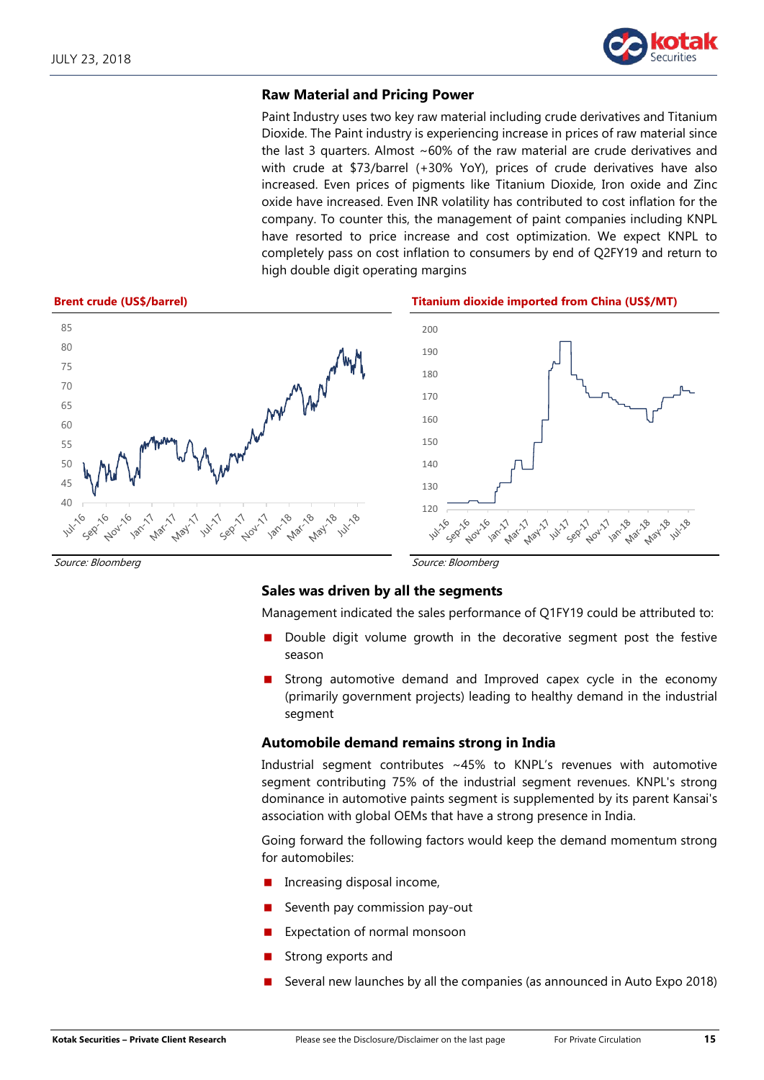

### **Raw Material and Pricing Power**

Paint Industry uses two key raw material including crude derivatives and Titanium Dioxide. The Paint industry is experiencing increase in prices of raw material since the last 3 quarters. Almost  $~60\%$  of the raw material are crude derivatives and with crude at \$73/barrel (+30% YoY), prices of crude derivatives have also increased. Even prices of pigments like Titanium Dioxide, Iron oxide and Zinc oxide have increased. Even INR volatility has contributed to cost inflation for the company. To counter this, the management of paint companies including KNPL have resorted to price increase and cost optimization. We expect KNPL to completely pass on cost inflation to consumers by end of Q2FY19 and return to high double digit operating margins



Source: Bloomberg Source: Bloomberg Source: Bloomberg Source: Bloomberg Source: Bloomberg

### **Sales was driven by all the segments**

Management indicated the sales performance of Q1FY19 could be attributed to:

- Double digit volume growth in the decorative segment post the festive season
- Strong automotive demand and Improved capex cycle in the economy (primarily government projects) leading to healthy demand in the industrial segment

### **Automobile demand remains strong in India**

Industrial segment contributes ~45% to KNPL's revenues with automotive segment contributing 75% of the industrial segment revenues. KNPL's strong dominance in automotive paints segment is supplemented by its parent Kansai's association with global OEMs that have a strong presence in India.

Going forward the following factors would keep the demand momentum strong for automobiles:

- Increasing disposal income,
- Seventh pay commission pay-out
- Expectation of normal monsoon
- Strong exports and
- Several new launches by all the companies (as announced in Auto Expo 2018)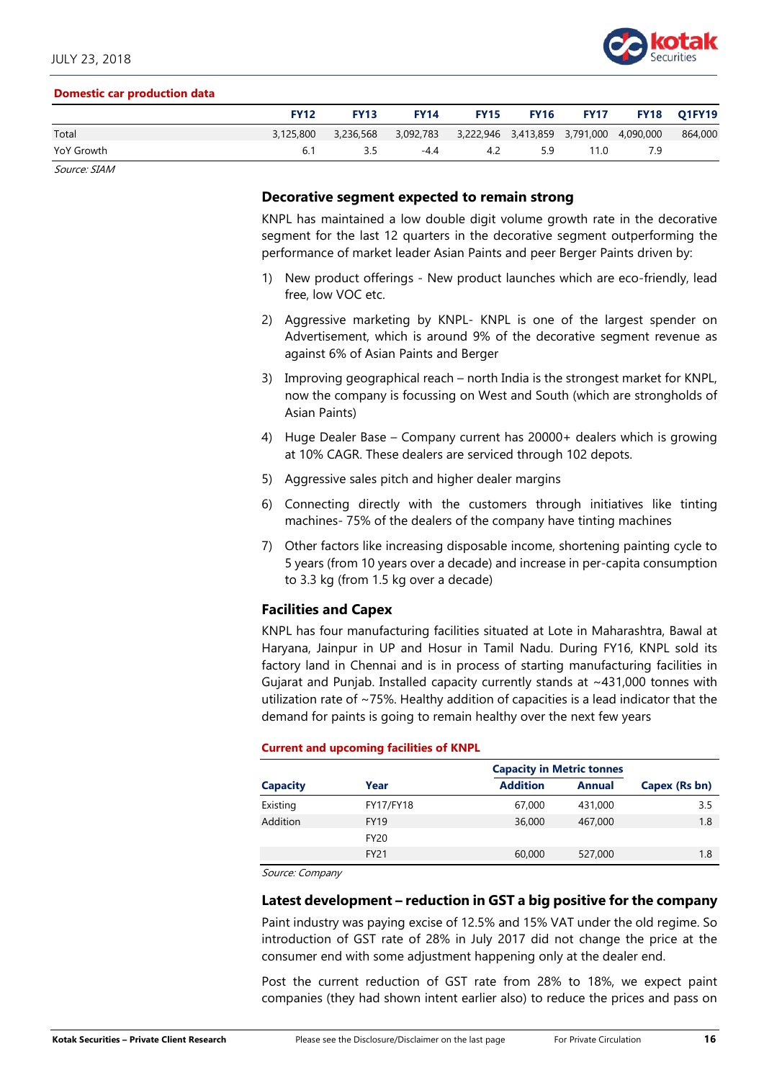

#### **Domestic car production data**

|            | <b>FY12</b> | <b>FY13</b> | <b>FY14</b>                                       | <b>FY15</b> |    |      | <b>FY16 FY17 FY18 Q1FY19</b> |         |
|------------|-------------|-------------|---------------------------------------------------|-------------|----|------|------------------------------|---------|
| Total      | 3,125,800   | 3,236,568   | 3,092,783 3,222,946 3,413,859 3,791,000 4,090,000 |             |    |      |                              | 864,000 |
| YoY Growth | 6.1         | 3.5         | $-4.4$                                            | 4.2         | 59 | 11.0 | 7.9                          |         |

Source: SIAM

#### **Decorative segment expected to remain strong**

KNPL has maintained a low double digit volume growth rate in the decorative segment for the last 12 quarters in the decorative segment outperforming the performance of market leader Asian Paints and peer Berger Paints driven by:

- 1) New product offerings New product launches which are eco-friendly, lead free, low VOC etc.
- 2) Aggressive marketing by KNPL- KNPL is one of the largest spender on Advertisement, which is around 9% of the decorative segment revenue as against 6% of Asian Paints and Berger
- 3) Improving geographical reach north India is the strongest market for KNPL, now the company is focussing on West and South (which are strongholds of Asian Paints)
- 4) Huge Dealer Base Company current has 20000+ dealers which is growing at 10% CAGR. These dealers are serviced through 102 depots.
- 5) Aggressive sales pitch and higher dealer margins
- 6) Connecting directly with the customers through initiatives like tinting machines- 75% of the dealers of the company have tinting machines
- 7) Other factors like increasing disposable income, shortening painting cycle to 5 years (from 10 years over a decade) and increase in per-capita consumption to 3.3 kg (from 1.5 kg over a decade)

## **Facilities and Capex**

KNPL has four manufacturing facilities situated at Lote in Maharashtra, Bawal at Haryana, Jainpur in UP and Hosur in Tamil Nadu. During FY16, KNPL sold its factory land in Chennai and is in process of starting manufacturing facilities in Gujarat and Punjab. Installed capacity currently stands at ~431,000 tonnes with utilization rate of ~75%. Healthy addition of capacities is a lead indicator that the demand for paints is going to remain healthy over the next few years

#### **Current and upcoming facilities of KNPL**

|                 |                            | <b>Capacity in Metric tonnes</b> |               |               |
|-----------------|----------------------------|----------------------------------|---------------|---------------|
| <b>Capacity</b> | Year                       | <b>Addition</b>                  | <b>Annual</b> | Capex (Rs bn) |
| Existing        | FY17/FY18                  | 67,000                           | 431,000       | 3.5           |
| Addition        | <b>FY19</b><br><b>FY20</b> | 36,000                           | 467,000       | 1.8           |
|                 | <b>FY21</b>                | 60,000                           | 527,000       | 1.8           |

Source: Company

#### **Latest development – reduction in GST a big positive for the company**

Paint industry was paying excise of 12.5% and 15% VAT under the old regime. So introduction of GST rate of 28% in July 2017 did not change the price at the consumer end with some adjustment happening only at the dealer end.

Post the current reduction of GST rate from 28% to 18%, we expect paint companies (they had shown intent earlier also) to reduce the prices and pass on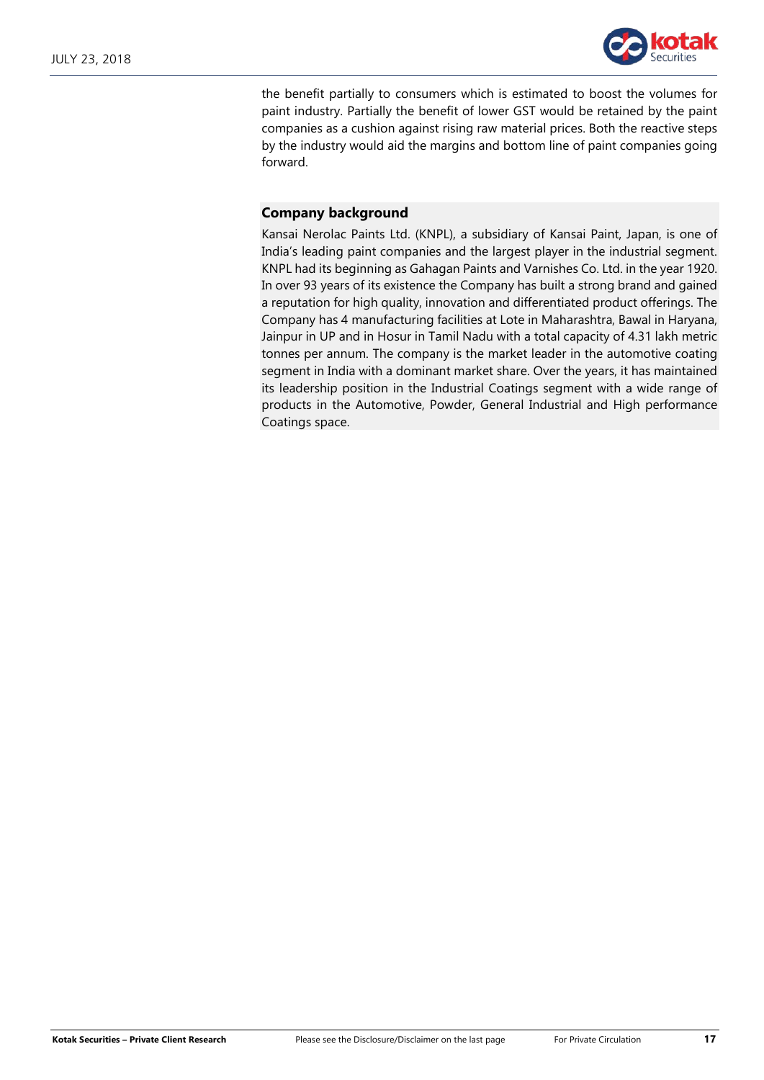

the benefit partially to consumers which is estimated to boost the volumes for paint industry. Partially the benefit of lower GST would be retained by the paint companies as a cushion against rising raw material prices. Both the reactive steps by the industry would aid the margins and bottom line of paint companies going forward.

# **Company background**

Kansai Nerolac Paints Ltd. (KNPL), a subsidiary of Kansai Paint, Japan, is one of India's leading paint companies and the largest player in the industrial segment. KNPL had its beginning as Gahagan Paints and Varnishes Co. Ltd. in the year 1920. In over 93 years of its existence the Company has built a strong brand and gained a reputation for high quality, innovation and differentiated product offerings. The Company has 4 manufacturing facilities at Lote in Maharashtra, Bawal in Haryana, Jainpur in UP and in Hosur in Tamil Nadu with a total capacity of 4.31 lakh metric tonnes per annum. The company is the market leader in the automotive coating segment in India with a dominant market share. Over the years, it has maintained its leadership position in the Industrial Coatings segment with a wide range of products in the Automotive, Powder, General Industrial and High performance Coatings space.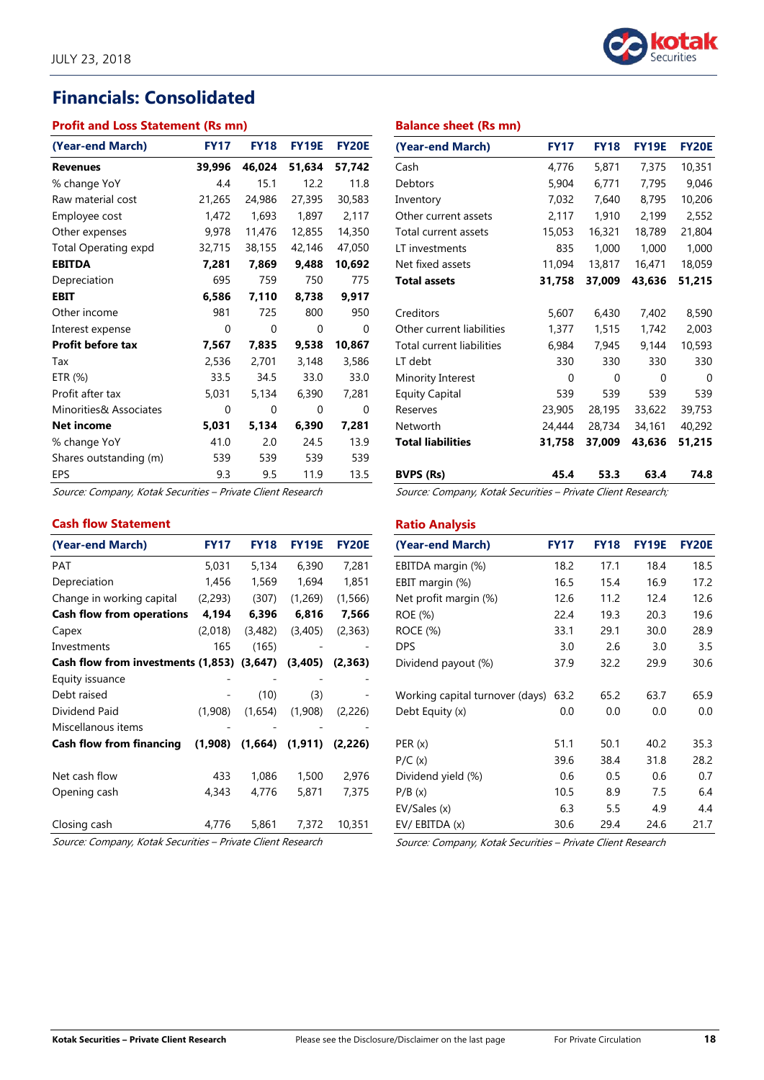# **Financials: Consolidated**

### **Profit and Loss Statement (Rs mn)**

| (Year-end March)            | <b>FY17</b> | <b>FY18</b> | <b>FY19E</b> | <b>FY20E</b> |
|-----------------------------|-------------|-------------|--------------|--------------|
| <b>Revenues</b>             | 39,996      | 46,024      | 51,634       | 57,742       |
| % change YoY                | 4.4         | 15.1        | 12.2         | 11.8         |
| Raw material cost           | 21,265      | 24,986      | 27,395       | 30,583       |
| Employee cost               | 1,472       | 1,693       | 1,897        | 2,117        |
| Other expenses              | 9,978       | 11,476      | 12,855       | 14,350       |
| <b>Total Operating expd</b> | 32,715      | 38,155      | 42,146       | 47,050       |
| <b>EBITDA</b>               | 7,281       | 7,869       | 9,488        | 10,692       |
| Depreciation                | 695         | 759         | 750          | 775          |
| <b>EBIT</b>                 | 6,586       | 7,110       | 8,738        | 9,917        |
| Other income                | 981         | 725         | 800          | 950          |
| Interest expense            | 0           | 0           | 0            | 0            |
| <b>Profit before tax</b>    | 7,567       | 7,835       | 9,538        | 10,867       |
| Tax                         | 2,536       | 2,701       | 3,148        | 3,586        |
| ETR (%)                     | 33.5        | 34.5        | 33.0         | 33.0         |
| Profit after tax            | 5,031       | 5,134       | 6,390        | 7,281        |
| Minorities& Associates      | 0           | 0           | 0            | O            |
| <b>Net income</b>           | 5,031       | 5,134       | 6,390        | 7,281        |
| % change YoY                | 41.0        | 2.0         | 24.5         | 13.9         |
| Shares outstanding (m)      | 539         | 539         | 539          | 539          |
| <b>EPS</b>                  | 9.3         | 9.5         | 11.9         | 13.5         |

Source: Company, Kotak Securities – Private Client Research

#### **Cash flow Statement**

| <b>FY17</b> | <b>FY18</b> | <b>FY19E</b>                       | <b>FY20E</b> |
|-------------|-------------|------------------------------------|--------------|
| 5,031       | 5,134       | 6,390                              | 7,281        |
| 1,456       | 1,569       | 1,694                              | 1,851        |
| (2, 293)    | (307)       | (1,269)                            | (1, 566)     |
| 4,194       | 6,396       | 6,816                              | 7,566        |
| (2,018)     | (3,482)     | (3,405)                            | (2,363)      |
| 165         | (165)       |                                    |              |
|             | (3, 647)    | (3,405)                            | (2,363)      |
|             |             |                                    |              |
|             | (10)        | (3)                                |              |
| (1,908)     | (1,654)     | (1,908)                            | (2,226)      |
|             |             |                                    |              |
| (1,908)     | (1,664)     | (1,911)                            | (2,226)      |
| 433         | 1,086       | 1,500                              | 2,976        |
| 4,343       | 4,776       | 5,871                              | 7,375        |
| 4,776       | 5,861       | 7,372                              | 10,351       |
|             |             | Cash flow from investments (1,853) |              |

Source: Company, Kotak Securities – Private Client Research



#### **Balance sheet (Rs mn)**

| (Year-end March)          | <b>FY17</b>      | <b>FY18</b> | <b>FY19E</b> | <b>FY20E</b> |
|---------------------------|------------------|-------------|--------------|--------------|
| Cash                      | 4,776            | 5,871       | 7,375        | 10,351       |
| Debtors                   | 5,904            | 6,771       | 7,795        | 9,046        |
| Inventory                 | 7,032            | 7,640       | 8,795        | 10,206       |
| Other current assets      | 2,117            | 1,910       | 2,199        | 2,552        |
| Total current assets      | 15,053           | 16,321      | 18,789       | 21,804       |
| LT investments            | 835              | 1,000       | 1,000        | 1,000        |
| Net fixed assets          | 11,094<br>13,817 |             | 16,471       | 18,059       |
| <b>Total assets</b>       | 31,758           | 37,009      | 43,636       | 51,215       |
|                           |                  |             |              |              |
| Creditors                 | 5,607            | 6,430       | 7,402        | 8,590        |
| Other current liabilities | 1,377            | 1,515       | 1,742        | 2,003        |
| Total current liabilities | 6,984            | 7,945       | 9,144        | 10,593       |
| LT debt                   | 330              | 330         | 330          | 330          |
| Minority Interest         | 0                | $\Omega$    | 0            | $\Omega$     |
| <b>Equity Capital</b>     | 539              | 539         | 539          | 539          |
| Reserves                  | 23,905           | 28,195      | 33,622       | 39,753       |
| Networth                  | 24,444           | 28,734      | 34,161       | 40,292       |
| <b>Total liabilities</b>  | 31,758           | 37,009      | 43,636       | 51,215       |
| <b>BVPS (Rs)</b>          | 45.4             | 53.3        | 63.4         | 74.8         |

Source: Company, Kotak Securities – Private Client Research;

#### **Ratio Analysis**

| (Year-end March)                | <b>FY17</b> | <b>FY18</b> | <b>FY19E</b> | <b>FY20E</b> |
|---------------------------------|-------------|-------------|--------------|--------------|
| EBITDA margin (%)               | 18.2        | 17.1        | 18.4         | 18.5         |
| EBIT margin (%)                 | 16.5        | 15.4        | 16.9         | 17.2         |
| Net profit margin (%)           | 12.6        | 11.2        | 12.4         | 12.6         |
| ROE (%)                         | 22.4        | 19.3        | 20.3         | 19.6         |
| <b>ROCE (%)</b>                 | 33.1        | 29.1        | 30.0         | 28.9         |
| <b>DPS</b>                      | 3.0         | 2.6         | 3.0          | 3.5          |
| Dividend payout (%)             | 37.9        | 32.2        | 29.9         | 30.6         |
| Working capital turnover (days) | 63.2        | 65.2        | 63.7         | 65.9         |
| Debt Equity (x)                 | 0.0         | 0.0         | 0.0          | 0.0          |
| PER (x)                         | 51.1        | 50.1        | 40.2         | 35.3         |
| P/C(x)                          | 39.6        | 38.4        | 31.8         | 28.2         |
| Dividend yield (%)              | 0.6         | 0.5         | 0.6          | 0.7          |
| P/B(x)                          | 10.5        | 8.9         | 7.5          | 6.4          |
| EV/Sales (x)                    | 6.3         | 5.5         | 4.9          | 4.4          |
| EV/EBITDA (x)                   | 30.6        | 29.4        | 24.6         | 21.7         |

Source: Company, Kotak Securities – Private Client Research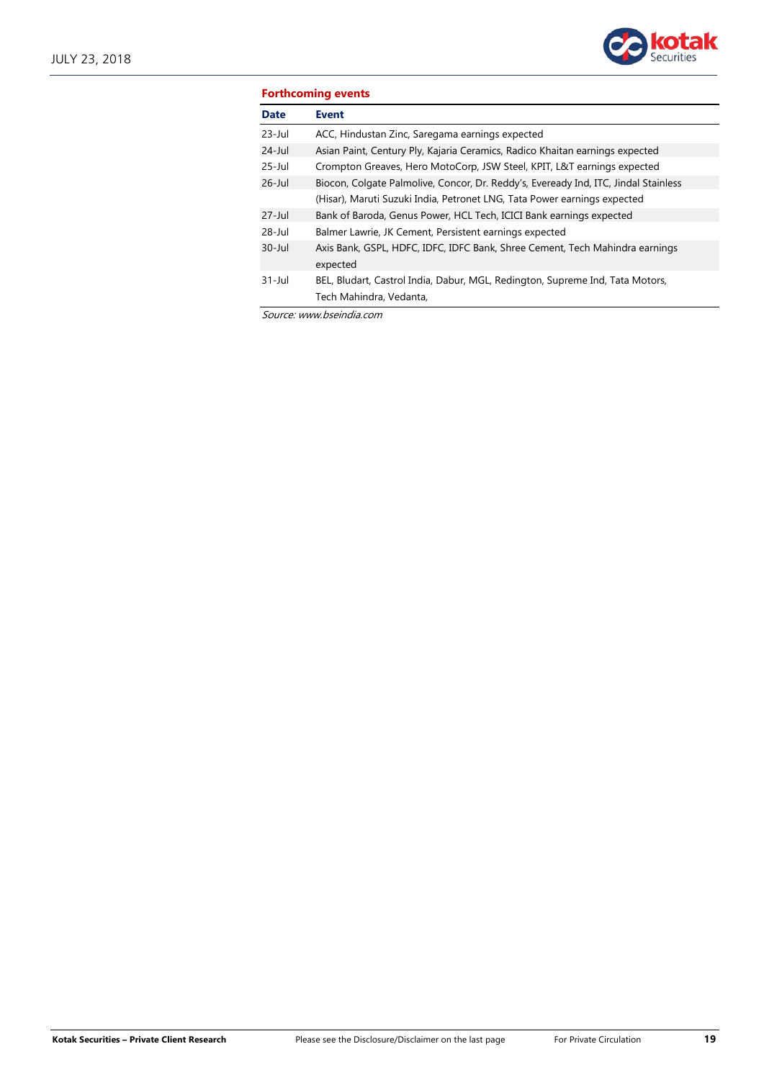

| <b>Forthcoming events</b> |                                                                                                          |  |
|---------------------------|----------------------------------------------------------------------------------------------------------|--|
| <b>Date</b>               | <b>Event</b>                                                                                             |  |
| $23$ -Jul                 | ACC, Hindustan Zinc, Saregama earnings expected                                                          |  |
| $24$ -Jul                 | Asian Paint, Century Ply, Kajaria Ceramics, Radico Khaitan earnings expected                             |  |
| $25 -$ Jul                | Crompton Greaves, Hero MotoCorp, JSW Steel, KPIT, L&T earnings expected                                  |  |
| $26$ -Jul                 | Biocon, Colgate Palmolive, Concor, Dr. Reddy's, Eveready Ind, ITC, Jindal Stainless                      |  |
|                           | (Hisar), Maruti Suzuki India, Petronet LNG, Tata Power earnings expected                                 |  |
| $27 -$ Jul                | Bank of Baroda, Genus Power, HCL Tech, ICICI Bank earnings expected                                      |  |
| $28 - Jul$                | Balmer Lawrie, JK Cement, Persistent earnings expected                                                   |  |
| $30 - Jul$                | Axis Bank, GSPL, HDFC, IDFC, IDFC Bank, Shree Cement, Tech Mahindra earnings<br>expected                 |  |
| $31 -$ Jul                | BEL, Bludart, Castrol India, Dabur, MGL, Redington, Supreme Ind, Tata Motors,<br>Tech Mahindra, Vedanta, |  |

Source: www.bseindia.com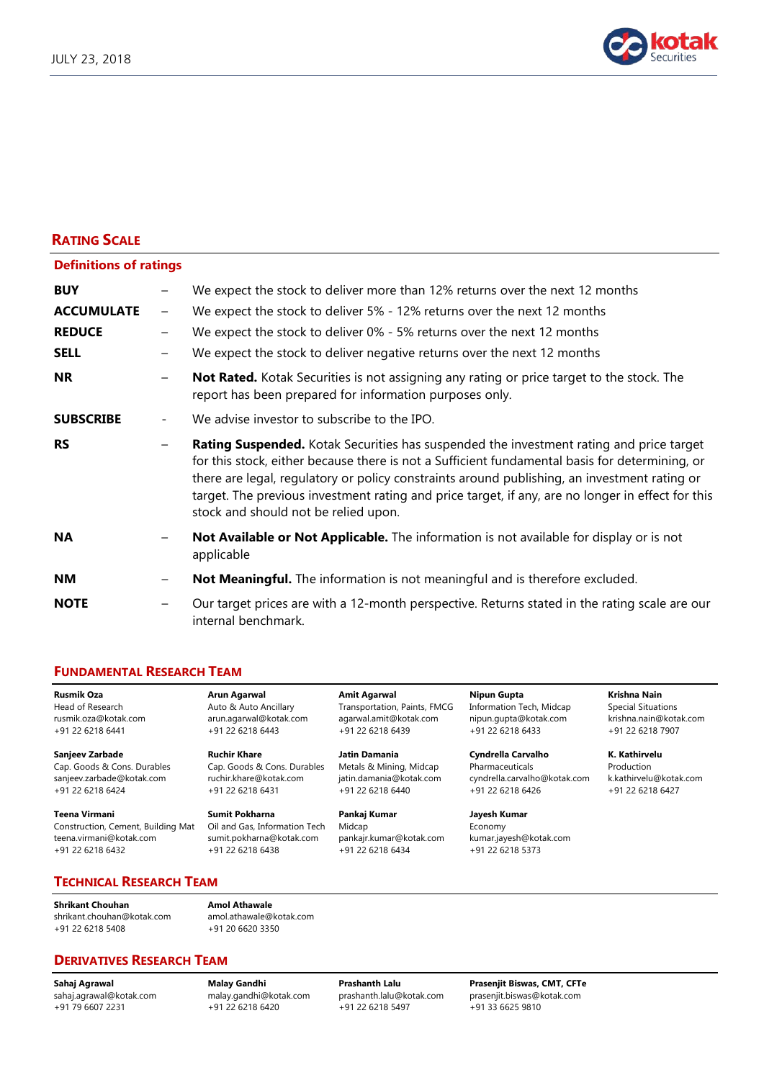

## **RATING SCALE**

| <b>Definitions of ratings</b> |                              |                                                                                                                                                                                                                                                                                                                                                                                                                                        |
|-------------------------------|------------------------------|----------------------------------------------------------------------------------------------------------------------------------------------------------------------------------------------------------------------------------------------------------------------------------------------------------------------------------------------------------------------------------------------------------------------------------------|
| <b>BUY</b>                    |                              | We expect the stock to deliver more than 12% returns over the next 12 months                                                                                                                                                                                                                                                                                                                                                           |
| <b>ACCUMULATE</b>             | $\overline{\phantom{m}}$     | We expect the stock to deliver 5% - 12% returns over the next 12 months                                                                                                                                                                                                                                                                                                                                                                |
| <b>REDUCE</b>                 |                              | We expect the stock to deliver 0% - 5% returns over the next 12 months                                                                                                                                                                                                                                                                                                                                                                 |
| <b>SELL</b>                   |                              | We expect the stock to deliver negative returns over the next 12 months                                                                                                                                                                                                                                                                                                                                                                |
| <b>NR</b>                     |                              | Not Rated. Kotak Securities is not assigning any rating or price target to the stock. The<br>report has been prepared for information purposes only.                                                                                                                                                                                                                                                                                   |
| <b>SUBSCRIBE</b>              | $\qquad \qquad \blacksquare$ | We advise investor to subscribe to the IPO.                                                                                                                                                                                                                                                                                                                                                                                            |
| <b>RS</b>                     |                              | Rating Suspended. Kotak Securities has suspended the investment rating and price target<br>for this stock, either because there is not a Sufficient fundamental basis for determining, or<br>there are legal, regulatory or policy constraints around publishing, an investment rating or<br>target. The previous investment rating and price target, if any, are no longer in effect for this<br>stock and should not be relied upon. |
| <b>NA</b>                     |                              | Not Available or Not Applicable. The information is not available for display or is not<br>applicable                                                                                                                                                                                                                                                                                                                                  |
| NΜ                            | $\overline{\phantom{m}}$     | Not Meaningful. The information is not meaningful and is therefore excluded.                                                                                                                                                                                                                                                                                                                                                           |
| <b>NOTE</b>                   |                              | Our target prices are with a 12-month perspective. Returns stated in the rating scale are our<br>internal benchmark.                                                                                                                                                                                                                                                                                                                   |

#### **FUNDAMENTAL RESEARCH TEAM**

sanjeev.zarbade@kotak.com

**Teena Virmani Sumit Pokharna Pankaj Kumar Jayesh Kumar** Construction, Cement, Building Mat Oil and Gas, Information Tech Midcap Economy teena.virmani@kotak.com sumit.pokharna@kotak.com pankajr.kumar@kotak.com kumar.jayesh@kotak.com<br>+91 22 6218 6432 +91 22 6218 6438 +91 22 6218 6434 +91 22 6218 5373 +91 22 6218 6432

**Rusmik Oza Arun Agarwal Amit Agarwal Nipun Gupta Krishna Nain** Head of Research **Auto & Auto Ancillary** Transportation, Paints, FMCG Information Tech, Midcap Special Situations rusmik.oza@kotak.com arun.agarwal@kotak.com agarwal.amit@kotak.com nipun.gupta@kotak.com krishna.nain@kotak.com +91 22 6218 6441 +91 22 6218 6443 +91 22 6218 6439 +91 22 6218 6433 +91 22 6218 7907

**Sanjeev Zarbade Ruchir Khare Jatin Damania Cyndrella Carvalho K. Kathirvelu** Cap. Goods & Cons. Durables Cap. Goods & Cons. Durables Metals & Mining, Midcap Pharmaceuticals Production<br>Conjeev.zarbade@kotak.com ruchir.khare@kotak.com jatin.damania@kotak.com cyndrella.carvalho@kotak.com k.kathirvelu@ +91 22 6218 6424 +91 22 6218 6431 +91 22 6218 6440 +91 22 6218 6426 +91 22 6218 6427

**TECHNICAL RESEARCH TEAM**

**Shrikant Chouhan Amol Athawale** [shrikant.chouhan@kotak.com](mailto:shrikant.chouhan@kotak.com) [amol.athawale@kotak.com](mailto:amol.athawale@kotak.com) +91 22 6218 5408 +91 20 6620 3350

**DERIVATIVES RESEARCH TEAM**

+91 79 6607 2231 +91 22 6218 6420 +91 22 6218 5497 +91 33 6625 9810

**Sahaj Agrawal Malay Gandhi Prashanth Lalu Prasenjit Biswas, CMT, CFTe** [malay.gandhi@kotak.com](mailto:malay.gandhi@kotak.com) [prashanth.lalu@kotak.com](mailto:prashanth.lalu@kotak.com) [prasenjit.biswas@kotak.com](mailto:prasenjit.biswas@kotak.com)